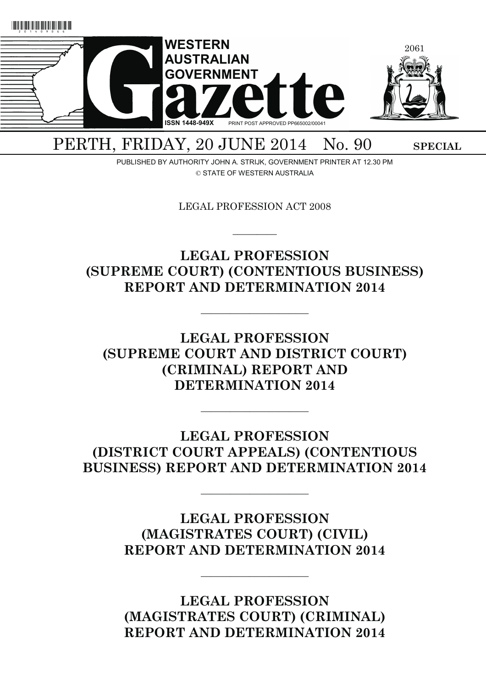

PERTH, FRIDAY, 20 JUNE 2014 No. 90 SPECIAL

PUBLISHED BY AUTHORITY JOHN A. STRIJK, GOVERNMENT PRINTER AT 12.30 PM © STATE OF WESTERN AUSTRALIA

LEGAL PROFESSION ACT 2008

 $\overline{\phantom{a}}$ 

# **LEGAL PROFESSION (SUPREME COURT) (CONTENTIOUS BUSINESS) REPORT AND DETERMINATION 2014**

———————————

**LEGAL PROFESSION (SUPREME COURT AND DISTRICT COURT) (CRIMINAL) REPORT AND DETERMINATION 2014** 

**LEGAL PROFESSION (DISTRICT COURT APPEALS) (CONTENTIOUS BUSINESS) REPORT AND DETERMINATION 2014** 

———————————

———————————

**LEGAL PROFESSION (MAGISTRATES COURT) (CIVIL) REPORT AND DETERMINATION 2014** 

———————————

**LEGAL PROFESSION (MAGISTRATES COURT) (CRIMINAL) REPORT AND DETERMINATION 2014**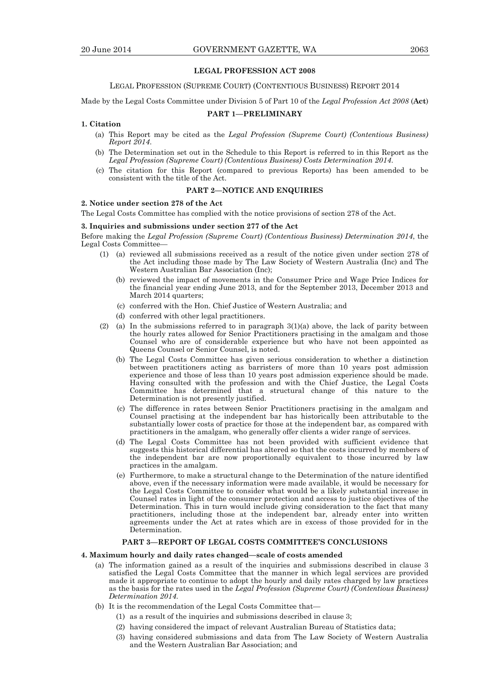## **LEGAL PROFESSION ACT 2008**

#### LEGAL PROFESSION (SUPREME COURT) (CONTENTIOUS BUSINESS) REPORT 2014

Made by the Legal Costs Committee under Division 5 of Part 10 of the *Legal Profession Act 2008* (**Act**)

## **PART 1—PRELIMINARY**

#### **1. Citation**

- (a) This Report may be cited as the *Legal Profession (Supreme Court) (Contentious Business) Report 2014*.
- (b) The Determination set out in the Schedule to this Report is referred to in this Report as the *Legal Profession (Supreme Court) (Contentious Business) Costs Determination 2014*.
- (c) The citation for this Report (compared to previous Reports) has been amended to be consistent with the title of the Act.

## **PART 2—NOTICE AND ENQUIRIES**

## **2. Notice under section 278 of the Act**

The Legal Costs Committee has complied with the notice provisions of section 278 of the Act.

## **3. Inquiries and submissions under section 277 of the Act**

Before making the *Legal Profession (Supreme Court) (Contentious Business) Determination 2014*, the Legal Costs Committee—

- (1) (a) reviewed all submissions received as a result of the notice given under section 278 of the Act including those made by The Law Society of Western Australia (Inc) and The Western Australian Bar Association (Inc);
	- (b) reviewed the impact of movements in the Consumer Price and Wage Price Indices for the financial year ending June 2013, and for the September 2013, December 2013 and March 2014 quarters;
	- (c) conferred with the Hon. Chief Justice of Western Australia; and
	- (d) conferred with other legal practitioners.
- (2) (a) In the submissions referred to in paragraph  $3(1)(a)$  above, the lack of parity between the hourly rates allowed for Senior Practitioners practising in the amalgam and those Counsel who are of considerable experience but who have not been appointed as Queens Counsel or Senior Counsel, is noted.
	- (b) The Legal Costs Committee has given serious consideration to whether a distinction between practitioners acting as barristers of more than 10 years post admission experience and those of less than 10 years post admission experience should be made. Having consulted with the profession and with the Chief Justice, the Legal Costs Committee has determined that a structural change of this nature to the Determination is not presently justified.
	- (c) The difference in rates between Senior Practitioners practising in the amalgam and Counsel practising at the independent bar has historically been attributable to the substantially lower costs of practice for those at the independent bar, as compared with practitioners in the amalgam, who generally offer clients a wider range of services.
	- (d) The Legal Costs Committee has not been provided with sufficient evidence that suggests this historical differential has altered so that the costs incurred by members of the independent bar are now proportionally equivalent to those incurred by law practices in the amalgam.
	- (e) Furthermore, to make a structural change to the Determination of the nature identified above, even if the necessary information were made available, it would be necessary for the Legal Costs Committee to consider what would be a likely substantial increase in Counsel rates in light of the consumer protection and access to justice objectives of the Determination. This in turn would include giving consideration to the fact that many practitioners, including those at the independent bar, already enter into written agreements under the Act at rates which are in excess of those provided for in the Determination.

## **PART 3—REPORT OF LEGAL COSTS COMMITTEE'S CONCLUSIONS**

#### **4. Maximum hourly and daily rates changed—scale of costs amended**

- (a) The information gained as a result of the inquiries and submissions described in clause 3 satisfied the Legal Costs Committee that the manner in which legal services are provided made it appropriate to continue to adopt the hourly and daily rates charged by law practices as the basis for the rates used in the *Legal Profession (Supreme Court) (Contentious Business) Determination 2014*.
- (b) It is the recommendation of the Legal Costs Committee that—
	- (1) as a result of the inquiries and submissions described in clause 3;
	- (2) having considered the impact of relevant Australian Bureau of Statistics data;
	- (3) having considered submissions and data from The Law Society of Western Australia and the Western Australian Bar Association; and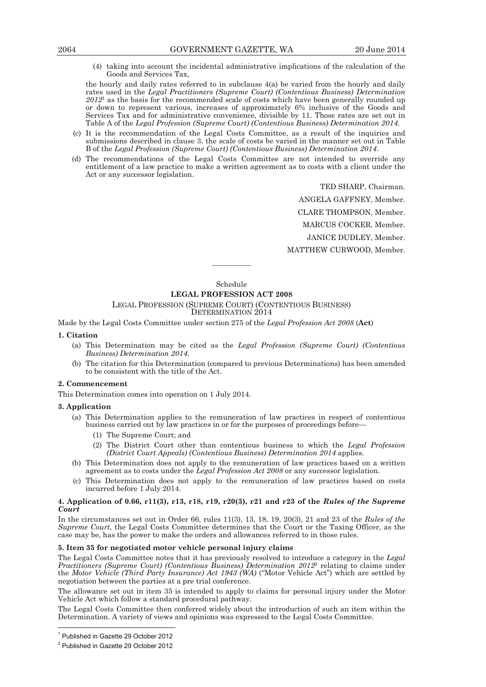(4) taking into account the incidental administrative implications of the calculation of the Goods and Services Tax,

the hourly and daily rates referred to in subclause  $4(a)$  be varied from the hourly and daily rates used in the *Legal Practitioners (Supreme Court) (Contentious Business) Determination 2012*1 as the basis for the recommended scale of costs which have been generally rounded up or down to represent various, increases of approximately 6% inclusive of the Goods and Services Tax and for administrative convenience, divisible by 11. Those rates are set out in Table A of the *Legal Profession (Supreme Court) (Contentious Business) Determination 2014*.

- (c) It is the recommendation of the Legal Costs Committee, as a result of the inquiries and submissions described in clause 3, the scale of costs be varied in the manner set out in Table B of the *Legal Profession (Supreme Court) (Contentious Business) Determination 2014*.
- (d) The recommendations of the Legal Costs Committee are not intended to override any entitlement of a law practice to make a written agreement as to costs with a client under the Act or any successor legislation.

TED SHARP, Chairman.

ANGELA GAFFNEY, Member.

CLARE THOMPSON, Member.

MARCUS COCKER, Member.

JANICE DUDLEY, Member.

MATTHEW CURWOOD, Member.

Schedule

————

#### **LEGAL PROFESSION ACT 2008**

LEGAL PROFESSION (SUPREME COURT) (CONTENTIOUS BUSINESS)

DETERMINATION<sub>2014</sub>

Made by the Legal Costs Committee under section 275 of the *Legal Profession Act 2008* (**Act**)

## **1. Citation**

- (a) This Determination may be cited as the *Legal Profession (Supreme Court) (Contentious Business) Determination 2014*.
- (b) The citation for this Determination (compared to previous Determinations) has been amended to be consistent with the title of the Act.

#### **2. Commencement**

This Determination comes into operation on 1 July 2014.

#### **3. Application**

- (a) This Determination applies to the remuneration of law practices in respect of contentious business carried out by law practices in or for the purposes of proceedings before—
	- (1) The Supreme Court; and
	- (2) The District Court other than contentious business to which the *Legal Profession (District Court Appeals) (Contentious Business) Determination 2014* applies.
- (b) This Determination does not apply to the remuneration of law practices based on a written agreement as to costs under the *Legal Profession Act 2008* or any successor legislation.
- (c) This Determination does not apply to the remuneration of law practices based on costs incurred before 1 July 2014.

#### **4. Application of 0.66, r11(3), r13, r18, r19, r20(3), r21 and r23 of the** *Rules of the Supreme Court*

In the circumstances set out in Order 66, rules 11(3), 13, 18, 19, 20(3), 21 and 23 of the *Rules of the Supreme Court*, the Legal Costs Committee determines that the Court or the Taxing Officer, as the case may be, has the power to make the orders and allowances referred to in those rules.

## **5. Item 35 for negotiated motor vehicle personal injury claims**

The Legal Costs Committee notes that it has previously resolved to introduce a category in the *Legal Practitioners (Supreme Court) (Contentious Business) Determination 2012*2 relating to claims under the *Motor Vehicle (Third Party Insurance) Act 1943 (WA)* ("Motor Vehicle Act") which are settled by negotiation between the parties at a pre trial conference.

The allowance set out in item 35 is intended to apply to claims for personal injury under the Motor Vehicle Act which follow a standard procedural pathway.

The Legal Costs Committee then conferred widely about the introduction of such an item within the Determination. A variety of views and opinions was expressed to the Legal Costs Committee.

 $\overline{a}$ 

<sup>1</sup> Published in Gazette 29 October 2012

<sup>&</sup>lt;sup>2</sup> Published in Gazette 29 October 2012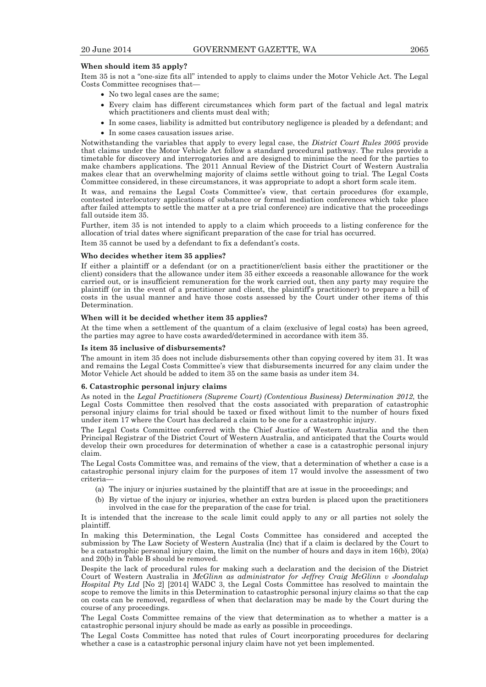## **When should item 35 apply?**

Item 35 is not a "one-size fits all" intended to apply to claims under the Motor Vehicle Act. The Legal Costs Committee recognises that—

- No two legal cases are the same:
- Every claim has different circumstances which form part of the factual and legal matrix which practitioners and clients must deal with;
- In some cases, liability is admitted but contributory negligence is pleaded by a defendant; and
- In some cases causation issues arise.

Notwithstanding the variables that apply to every legal case, the *District Court Rules 2005* provide that claims under the Motor Vehicle Act follow a standard procedural pathway. The rules provide a timetable for discovery and interrogatories and are designed to minimise the need for the parties to make chambers applications. The 2011 Annual Review of the District Court of Western Australia makes clear that an overwhelming majority of claims settle without going to trial. The Legal Costs Committee considered, in these circumstances, it was appropriate to adopt a short form scale item.

It was, and remains the Legal Costs Committee's view, that certain procedures (for example, contested interlocutory applications of substance or formal mediation conferences which take place after failed attempts to settle the matter at a pre trial conference) are indicative that the proceedings fall outside item 35.

Further, item 35 is not intended to apply to a claim which proceeds to a listing conference for the allocation of trial dates where significant preparation of the case for trial has occurred.

Item 35 cannot be used by a defendant to fix a defendant's costs.

## **Who decides whether item 35 applies?**

If either a plaintiff or a defendant (or on a practitioner/client basis either the practitioner or the client) considers that the allowance under item 35 either exceeds a reasonable allowance for the work carried out, or is insufficient remuneration for the work carried out, then any party may require the plaintiff (or in the event of a practitioner and client, the plaintiff's practitioner) to prepare a bill of costs in the usual manner and have those costs assessed by the Court under other items of this Determination.

#### **When will it be decided whether item 35 applies?**

At the time when a settlement of the quantum of a claim (exclusive of legal costs) has been agreed, the parties may agree to have costs awarded/determined in accordance with item 35.

#### **Is item 35 inclusive of disbursements?**

The amount in item 35 does not include disbursements other than copying covered by item 31. It was and remains the Legal Costs Committee's view that disbursements incurred for any claim under the Motor Vehicle Act should be added to item 35 on the same basis as under item 34.

#### **6. Catastrophic personal injury claims**

As noted in the *Legal Practitioners (Supreme Court) (Contentious Business) Determination 2012*, the Legal Costs Committee then resolved that the costs associated with preparation of catastrophic personal injury claims for trial should be taxed or fixed without limit to the number of hours fixed under item 17 where the Court has declared a claim to be one for a catastrophic injury.

The Legal Costs Committee conferred with the Chief Justice of Western Australia and the then Principal Registrar of the District Court of Western Australia, and anticipated that the Courts would develop their own procedures for determination of whether a case is a catastrophic personal injury claim.

The Legal Costs Committee was, and remains of the view, that a determination of whether a case is a catastrophic personal injury claim for the purposes of item 17 would involve the assessment of two criteria—

- (a) The injury or injuries sustained by the plaintiff that are at issue in the proceedings; and
- (b) By virtue of the injury or injuries, whether an extra burden is placed upon the practitioners involved in the case for the preparation of the case for trial.

It is intended that the increase to the scale limit could apply to any or all parties not solely the plaintiff.

In making this Determination, the Legal Costs Committee has considered and accepted the submission by The Law Society of Western Australia (Inc) that if a claim is declared by the Court to be a catastrophic personal injury claim, the limit on the number of hours and days in item 16(b), 20(a) and 20(b) in Table B should be removed.

Despite the lack of procedural rules for making such a declaration and the decision of the District Court of Western Australia in *McGlinn as administrator for Jeffrey Craig McGlinn v Joondalup Hospital Pty Ltd* [No 2] [2014] WADC 3, the Legal Costs Committee has resolved to maintain the scope to remove the limits in this Determination to catastrophic personal injury claims so that the cap on costs can be removed, regardless of when that declaration may be made by the Court during the course of any proceedings.

The Legal Costs Committee remains of the view that determination as to whether a matter is a catastrophic personal injury should be made as early as possible in proceedings.

The Legal Costs Committee has noted that rules of Court incorporating procedures for declaring whether a case is a catastrophic personal injury claim have not yet been implemented.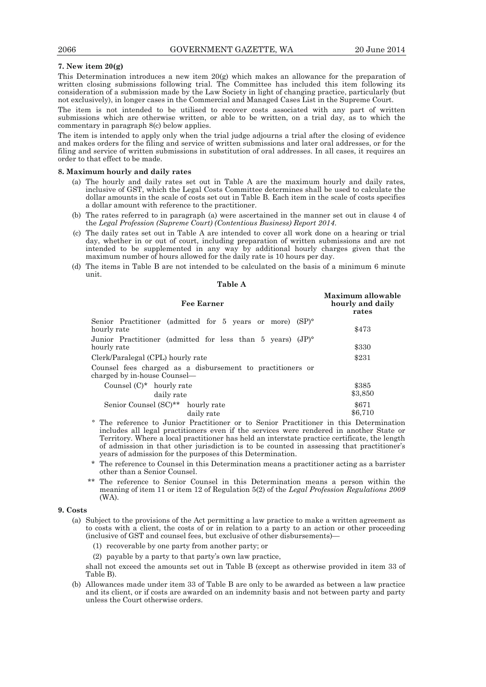## **7. New item 20(g)**

This Determination introduces a new item 20(g) which makes an allowance for the preparation of written closing submissions following trial. The Committee has included this item following its consideration of a submission made by the Law Society in light of changing practice, particularly (but not exclusively), in longer cases in the Commercial and Managed Cases List in the Supreme Court.

The item is not intended to be utilised to recover costs associated with any part of written submissions which are otherwise written, or able to be written, on a trial day, as to which the commentary in paragraph 8(c) below applies.

The item is intended to apply only when the trial judge adjourns a trial after the closing of evidence and makes orders for the filing and service of written submissions and later oral addresses, or for the filing and service of written submissions in substitution of oral addresses. In all cases, it requires an order to that effect to be made.

#### **8. Maximum hourly and daily rates**

- (a) The hourly and daily rates set out in Table A are the maximum hourly and daily rates, inclusive of GST, which the Legal Costs Committee determines shall be used to calculate the dollar amounts in the scale of costs set out in Table B. Each item in the scale of costs specifies a dollar amount with reference to the practitioner.
- (b) The rates referred to in paragraph (a) were ascertained in the manner set out in clause 4 of the *Legal Profession (Supreme Court) (Contentious Business) Report 2014*.
- (c) The daily rates set out in Table A are intended to cover all work done on a hearing or trial day, whether in or out of court, including preparation of written submissions and are not intended to be supplemented in any way by additional hourly charges given that the maximum number of hours allowed for the daily rate is 10 hours per day.
- (d) The items in Table B are not intended to be calculated on the basis of a minimum 6 minute unit.

| anıe |  |
|------|--|
|------|--|

| <b>Fee Earner</b>                                                                          | Maximum allowable<br>hourly and daily<br>rates |
|--------------------------------------------------------------------------------------------|------------------------------------------------|
| Senior Practitioner (admitted for 5 years or more) (SP) <sup>o</sup><br>hourly rate        | \$473                                          |
| Junior Practitioner (admitted for less than 5 years) (JP) <sup>o</sup><br>hourly rate      | \$330                                          |
| Clerk/Paralegal (CPL) hourly rate                                                          | \$231                                          |
| Counsel fees charged as a disbursement to practitioners or<br>charged by in-house Counsel— |                                                |
| Counsel $(C)^*$ hourly rate<br>daily rate                                                  | \$385<br>\$3,850                               |
| Senior Counsel (SC) <sup>**</sup> hourly rate<br>daily rate                                | \$671<br>\$6,710                               |

- ° The reference to Junior Practitioner or to Senior Practitioner in this Determination includes all legal practitioners even if the services were rendered in another State or Territory. Where a local practitioner has held an interstate practice certificate, the length of admission in that other jurisdiction is to be counted in assessing that practitioner's years of admission for the purposes of this Determination.
- The reference to Counsel in this Determination means a practitioner acting as a barrister other than a Senior Counsel.
- The reference to Senior Counsel in this Determination means a person within the meaning of item 11 or item 12 of Regulation 5(2) of the *Legal Profession Regulations 2009*  (WA).

#### **9. Costs**

- (a) Subject to the provisions of the Act permitting a law practice to make a written agreement as to costs with a client, the costs of or in relation to a party to an action or other proceeding (inclusive of GST and counsel fees, but exclusive of other disbursements)—
	- (1) recoverable by one party from another party; or
	- (2) payable by a party to that party's own law practice,

shall not exceed the amounts set out in Table B (except as otherwise provided in item 33 of Table B).

 (b) Allowances made under item 33 of Table B are only to be awarded as between a law practice and its client, or if costs are awarded on an indemnity basis and not between party and party unless the Court otherwise orders.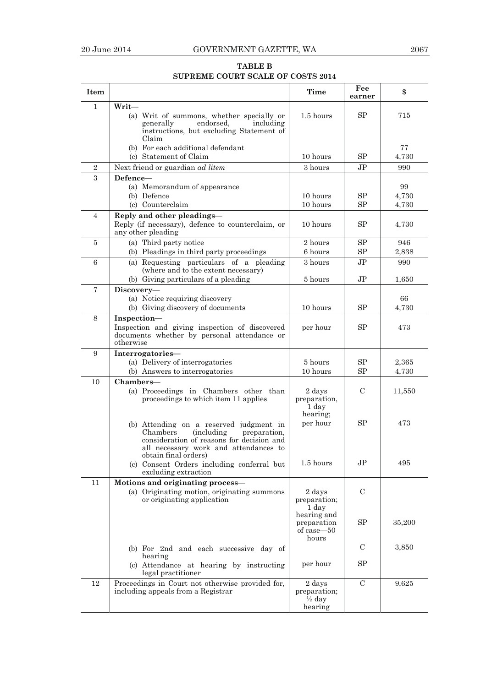## **TABLE B SUPREME COURT SCALE OF COSTS 2014**

| Item           |                                                                                                                                                                                                         | <b>Time</b>                                            | Fee<br>earner  | \$     |
|----------------|---------------------------------------------------------------------------------------------------------------------------------------------------------------------------------------------------------|--------------------------------------------------------|----------------|--------|
| $\mathbf{1}$   | Writ-                                                                                                                                                                                                   |                                                        |                |        |
|                | (a) Writ of summons, whether specially or<br>endorsed,<br>including<br>generally<br>instructions, but excluding Statement of                                                                            | 1.5 hours                                              | <b>SP</b>      | 715    |
|                | Claim                                                                                                                                                                                                   |                                                        |                |        |
|                | (b) For each additional defendant                                                                                                                                                                       |                                                        |                | 77     |
|                | (c) Statement of Claim                                                                                                                                                                                  | 10 hours                                               | SP             | 4,730  |
| $\sqrt{2}$     | Next friend or guardian <i>ad litem</i>                                                                                                                                                                 | 3 hours                                                | J <sub>P</sub> | 990    |
| 3              | Defence-                                                                                                                                                                                                |                                                        |                |        |
|                | (a) Memorandum of appearance                                                                                                                                                                            |                                                        |                | 99     |
|                | (b) Defence                                                                                                                                                                                             | 10 hours                                               | SP             | 4,730  |
|                | (c) Counterclaim                                                                                                                                                                                        | 10 hours                                               | SP             | 4,730  |
| $\overline{4}$ | Reply and other pleadings-                                                                                                                                                                              |                                                        |                |        |
|                | Reply (if necessary), defence to counterclaim, or<br>any other pleading                                                                                                                                 | 10 hours                                               | SP             | 4,730  |
| $\overline{5}$ | (a) Third party notice                                                                                                                                                                                  | 2 hours                                                | SP             | 946    |
|                | (b) Pleadings in third party proceedings                                                                                                                                                                | 6 hours                                                | SP             | 2,838  |
| 6              | (a) Requesting particulars of a pleading<br>(where and to the extent necessary)                                                                                                                         | 3 hours                                                | J <sub>P</sub> | 990    |
|                | (b) Giving particulars of a pleading                                                                                                                                                                    | 5 hours                                                | $J\mathrm{P}$  | 1,650  |
| $\overline{7}$ | Discovery-                                                                                                                                                                                              |                                                        |                |        |
|                | (a) Notice requiring discovery                                                                                                                                                                          |                                                        |                | 66     |
|                | (b) Giving discovery of documents                                                                                                                                                                       | 10 hours                                               | SP             | 4.730  |
| 8              | Inspection-<br>Inspection and giving inspection of discovered<br>documents whether by personal attendance or<br>otherwise                                                                               | per hour                                               | <b>SP</b>      | 473    |
| 9              | Interrogatories-                                                                                                                                                                                        |                                                        |                |        |
|                | (a) Delivery of interrogatories                                                                                                                                                                         | 5 hours                                                | SP             | 2,365  |
|                | (b) Answers to interrogatories                                                                                                                                                                          | 10 hours                                               | SP             | 4,730  |
| 10             | Chambers-                                                                                                                                                                                               |                                                        |                |        |
|                | (a) Proceedings in Chambers other than<br>proceedings to which item 11 applies                                                                                                                          | 2 days<br>preparation,<br>1 day<br>hearing;            | C              | 11,550 |
|                | (b) Attending on a reserved judgment in<br>Chambers<br><i>(including)</i><br>preparation,<br>consideration of reasons for decision and<br>all necessary work and attendances to<br>obtain final orders) | per hour                                               | SP             | 473    |
|                | (c) Consent Orders including conferral but<br>excluding extraction                                                                                                                                      | 1.5 hours                                              | J <sub>P</sub> | 495    |
| 11             | Motions and originating process-                                                                                                                                                                        |                                                        |                |        |
|                | (a) Originating motion, originating summons<br>or originating application                                                                                                                               | 2 days<br>preparation:<br>1 day                        | $\mathbf C$    |        |
|                |                                                                                                                                                                                                         | hearing and<br>preparation<br>of case-50<br>hours      | SP             | 35,200 |
|                | (b) For 2nd and each successive day of<br>hearing                                                                                                                                                       |                                                        | $\mathbf C$    | 3,850  |
|                | (c) Attendance at hearing by instructing<br>legal practitioner                                                                                                                                          | per hour                                               | SP             |        |
| 12             | Proceedings in Court not otherwise provided for,<br>including appeals from a Registrar                                                                                                                  | 2 days<br>preparation;<br>$\frac{1}{2}$ day<br>hearing | $\mathcal{C}$  | 9,625  |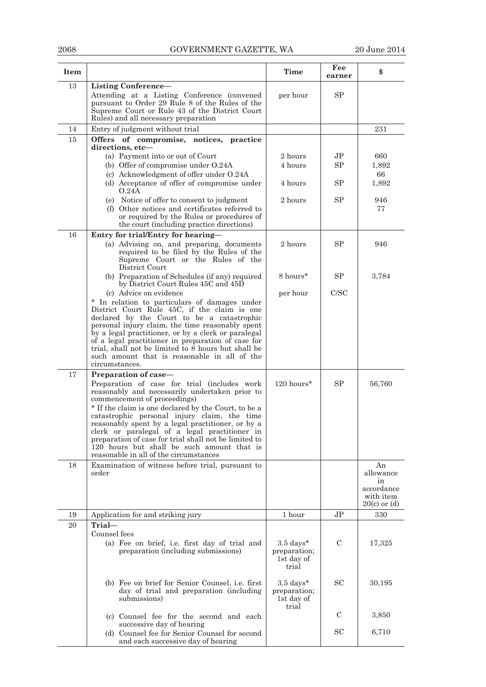## 2068 GOVERNMENT GAZETTE, WA 20 June 2014

| Item |                                                                                                                                                                                                                                                                                                                                                                                                                                                                                               | Time                                                        | Fee<br>earner  | \$                                                                   |
|------|-----------------------------------------------------------------------------------------------------------------------------------------------------------------------------------------------------------------------------------------------------------------------------------------------------------------------------------------------------------------------------------------------------------------------------------------------------------------------------------------------|-------------------------------------------------------------|----------------|----------------------------------------------------------------------|
| 13   | Listing Conference-<br>Attending at a Listing Conference (convened<br>pursuant to Order 29 Rule 8 of the Rules of the<br>Supreme Court or Rule 43 of the District Court<br>Rules) and all necessary preparation                                                                                                                                                                                                                                                                               | per hour                                                    | SP             |                                                                      |
| 14   | Entry of judgment without trial                                                                                                                                                                                                                                                                                                                                                                                                                                                               |                                                             |                | 231                                                                  |
| 15   | Offers of compromise, notices, practice<br>directions. etc-<br>(a) Payment into or out of Court                                                                                                                                                                                                                                                                                                                                                                                               | 2 hours                                                     | $\rm{JP}$      | 660                                                                  |
|      | (b) Offer of compromise under O.24A<br>(c) Acknowledgment of offer under O.24A<br>(d) Acceptance of offer of compromise under                                                                                                                                                                                                                                                                                                                                                                 | 4 hours<br>4 hours                                          | SP<br>SP       | 1,892<br>66<br>1,892                                                 |
|      | O.24A<br>(e) Notice of offer to consent to judgment<br>(f) Other notices and certificates referred to<br>or required by the Rules or procedures of<br>the court (including practice directions)                                                                                                                                                                                                                                                                                               | 2 hours                                                     | SP             | 946<br>77                                                            |
| 16   | Entry for trial/Entry for hearing-<br>(a) Advising on, and preparing, documents<br>required to be filed by the Rules of the<br>Supreme Court or the Rules of the<br>District Court                                                                                                                                                                                                                                                                                                            | 2 hours                                                     | SP             | 946                                                                  |
|      | (b) Preparation of Schedules (if any) required<br>by District Court Rules 45C and 45D                                                                                                                                                                                                                                                                                                                                                                                                         | 8 hours*                                                    | SP             | 3,784                                                                |
|      | (c) Advice on evidence<br>* In relation to particulars of damages under<br>District Court Rule 45C, if the claim is one<br>declared by the Court to be a catastrophic<br>personal injury claim, the time reasonably spent<br>by a legal practitioner, or by a clerk or paralegal<br>of a legal practitioner in preparation of case for<br>trial, shall not be limited to 8 hours but shall be<br>such amount that is reasonable in all of the<br>circumstances.                               | per hour                                                    | C/SC           |                                                                      |
| 17   | Preparation of case—                                                                                                                                                                                                                                                                                                                                                                                                                                                                          |                                                             |                |                                                                      |
|      | Preparation of case for trial (includes work<br>reasonably and necessarily undertaken prior to<br>commencement of proceedings)<br>* If the claim is one declared by the Court, to be a<br>catastrophic personal injury claim, the time<br>reasonably spent by a legal practitioner, or by a<br>clerk or paralegal of a legal practitioner in<br>preparation of case for trial shall not be limited to<br>120 hours but shall be such amount that is<br>reasonable in all of the circumstances | 120 hours*                                                  | SP             | 56,760                                                               |
| 18   | Examination of witness before trial, pursuant to<br>order                                                                                                                                                                                                                                                                                                                                                                                                                                     |                                                             |                | An<br>allowance<br>in<br>accordance<br>with item<br>$20(c)$ or $(d)$ |
| 19   | Application for and striking jury                                                                                                                                                                                                                                                                                                                                                                                                                                                             | 1 hour                                                      | J <sub>P</sub> | 330                                                                  |
| 20   | Trial-<br>Counsel fees<br>(a) Fee on brief, i.e. first day of trial and<br>preparation (including submissions)                                                                                                                                                                                                                                                                                                                                                                                | $3.5 \text{ days}^*$<br>preparation;<br>1st day of<br>trial | $\mathbf C$    | 17,325                                                               |
|      | (b) Fee on brief for Senior Counsel, i.e. first<br>day of trial and preparation (including<br>submissions)                                                                                                                                                                                                                                                                                                                                                                                    | $3.5 \text{ days}^*$<br>preparation;<br>1st day of<br>trial | <b>SC</b>      | 30,195                                                               |
|      | (c) Counsel fee for the second and each                                                                                                                                                                                                                                                                                                                                                                                                                                                       |                                                             | C              | 3,850                                                                |
|      | successive day of hearing<br>(d) Counsel fee for Senior Counsel for second<br>and each successive day of hearing                                                                                                                                                                                                                                                                                                                                                                              |                                                             | SC             | 6,710                                                                |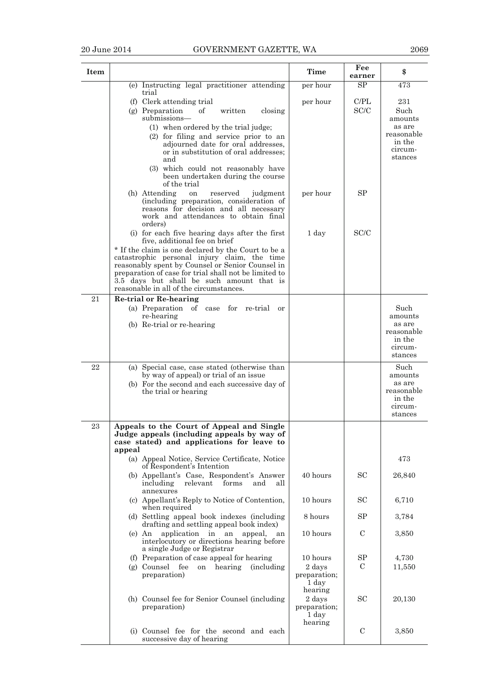| Item |                                                                                                                                                                                                                                                                                                          | <b>Time</b>                                           | Fee<br>earner       | \$                                                                      |
|------|----------------------------------------------------------------------------------------------------------------------------------------------------------------------------------------------------------------------------------------------------------------------------------------------------------|-------------------------------------------------------|---------------------|-------------------------------------------------------------------------|
|      | (e) Instructing legal practitioner attending<br>trial                                                                                                                                                                                                                                                    | per hour                                              | SP.                 | 473                                                                     |
|      | (f) Clerk attending trial<br>(g) Preparation<br>οf<br>written<br>closing<br>submissions-<br>(1) when ordered by the trial judge;<br>(2) for filing and service prior to an                                                                                                                               | per hour                                              | C/PL<br>SC/C        | 231<br>Such<br>amounts<br>as are<br>reasonable                          |
|      | adjourned date for oral addresses,<br>or in substitution of oral addresses;<br>and<br>(3) which could not reasonably have<br>been undertaken during the course                                                                                                                                           |                                                       |                     | in the<br>circum-<br>stances                                            |
|      | of the trial<br>(h) Attending<br>reserved<br>judgment<br>on<br>(including preparation, consideration of<br>reasons for decision and all necessary<br>work and attendances to obtain final                                                                                                                | per hour                                              | SP                  |                                                                         |
|      | orders)<br>(i) for each five hearing days after the first<br>five, additional fee on brief                                                                                                                                                                                                               | 1 day                                                 | SC/C                |                                                                         |
|      | * If the claim is one declared by the Court to be a<br>catastrophic personal injury claim, the time<br>reasonably spent by Counsel or Senior Counsel in<br>preparation of case for trial shall not be limited to<br>3.5 days but shall be such amount that is<br>reasonable in all of the circumstances. |                                                       |                     |                                                                         |
| 21   | Re-trial or Re-hearing<br>(a) Preparation of case for re-trial<br><sub>or</sub>                                                                                                                                                                                                                          |                                                       |                     | Such                                                                    |
|      | re-hearing<br>(b) Re-trial or re-hearing                                                                                                                                                                                                                                                                 |                                                       |                     | amounts<br>as are<br>reasonable<br>in the<br>circum-<br>stances         |
| 22   | (a) Special case, case stated (otherwise than<br>by way of appeal) or trial of an issue<br>(b) For the second and each successive day of<br>the trial or hearing                                                                                                                                         |                                                       |                     | Such<br>amounts<br>as are<br>reasonable<br>in the<br>circum-<br>stances |
| 23   | Appeals to the Court of Appeal and Single<br>Judge appeals (including appeals by way of<br>case stated) and applications for leave to<br>appeal                                                                                                                                                          |                                                       |                     |                                                                         |
|      | (a) Appeal Notice, Service Certificate, Notice<br>of Respondent's Intention                                                                                                                                                                                                                              |                                                       |                     | 473                                                                     |
|      | (b) Appellant's Case, Respondent's Answer<br>including<br>relevant<br>forms<br>and<br>all<br>annexures                                                                                                                                                                                                   | 40 hours                                              | SC                  | 26,840                                                                  |
|      | (c) Appellant's Reply to Notice of Contention,<br>when required                                                                                                                                                                                                                                          | 10 hours                                              | <b>SC</b>           | 6,710                                                                   |
|      | (d) Settling appeal book indexes (including<br>drafting and settling appeal book index)                                                                                                                                                                                                                  | 8 hours                                               | SP                  | 3,784                                                                   |
|      | (e) An application in an<br>appeal,<br>an<br>interlocutory or directions hearing before<br>a single Judge or Registrar                                                                                                                                                                                   | 10 hours                                              | $\mathcal{C}$       | 3,850                                                                   |
|      | (f) Preparation of case appeal for hearing<br>(g) Counsel fee<br>hearing<br><i>(including)</i><br>on<br>preparation)                                                                                                                                                                                     | 10 hours<br>2 days<br>preparation;<br>1 day           | SP<br>$\mathcal{C}$ | 4,730<br>11,550                                                         |
|      | (h) Counsel fee for Senior Counsel (including<br>preparation)                                                                                                                                                                                                                                            | hearing<br>2 days<br>preparation;<br>1 day<br>hearing | <b>SC</b>           | 20,130                                                                  |
|      | (i) Counsel fee for the second and each<br>successive day of hearing                                                                                                                                                                                                                                     |                                                       | $\mathbf C$         | 3,850                                                                   |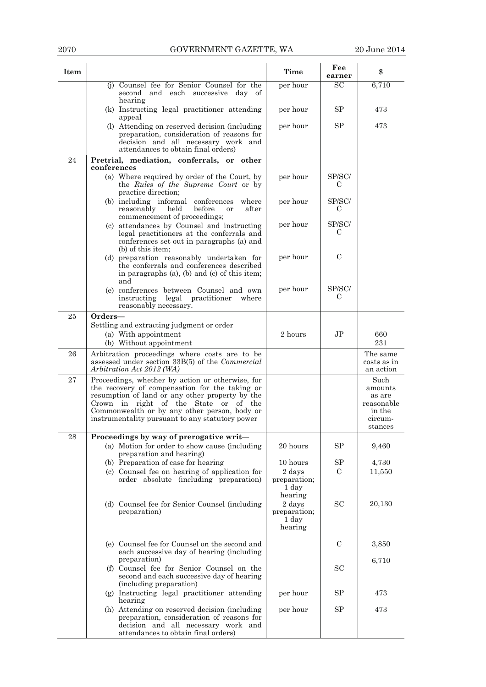## 2070 GOVERNMENT GAZETTE, WA 20 June 2014

| Item |                                                                                                                                                                                                                                                                                                   | Time                                       | Fee<br>earner | \$                                                                      |
|------|---------------------------------------------------------------------------------------------------------------------------------------------------------------------------------------------------------------------------------------------------------------------------------------------------|--------------------------------------------|---------------|-------------------------------------------------------------------------|
|      | (j) Counsel fee for Senior Counsel for the<br>second and each successive day of<br>hearing                                                                                                                                                                                                        | per hour                                   | SC            | 6,710                                                                   |
|      | (k) Instructing legal practitioner attending<br>appeal                                                                                                                                                                                                                                            | per hour                                   | SP            | 473                                                                     |
|      | (I) Attending on reserved decision (including<br>preparation, consideration of reasons for<br>decision and all necessary work and                                                                                                                                                                 | per hour                                   | SP            | 473                                                                     |
| 24   | attendances to obtain final orders)<br>Pretrial, mediation, conferrals, or other                                                                                                                                                                                                                  |                                            |               |                                                                         |
|      | conferences                                                                                                                                                                                                                                                                                       |                                            |               |                                                                         |
|      | (a) Where required by order of the Court, by<br>the Rules of the Supreme Court or by<br>practice direction;                                                                                                                                                                                       | per hour                                   | SP/SC/<br>C   |                                                                         |
|      | (b) including informal conferences<br>where<br>reasonably<br>held<br>before<br>after<br><b>or</b><br>commencement of proceedings;                                                                                                                                                                 | per hour                                   | SP/SC/<br>C   |                                                                         |
|      | (c) attendances by Counsel and instructing<br>legal practitioners at the conferrals and<br>conferences set out in paragraphs (a) and<br>(b) of this item;                                                                                                                                         | per hour                                   | SP/SC/<br>C   |                                                                         |
|      | (d) preparation reasonably undertaken for<br>the conferrals and conferences described<br>in paragraphs (a), (b) and (c) of this item;<br>and                                                                                                                                                      | per hour                                   | $\mathcal{C}$ |                                                                         |
|      | (e) conferences between Counsel and own<br>legal<br>practitioner<br>instructing<br>where<br>reasonably necessary.                                                                                                                                                                                 | per hour                                   | SP/SC/<br>С   |                                                                         |
| 25   | Orders—                                                                                                                                                                                                                                                                                           |                                            |               |                                                                         |
|      | Settling and extracting judgment or order<br>(a) With appointment                                                                                                                                                                                                                                 | 2 hours                                    | $\rm{JP}$     | 660                                                                     |
|      | (b) Without appointment                                                                                                                                                                                                                                                                           |                                            |               | 231                                                                     |
| 26   | Arbitration proceedings where costs are to be<br>assessed under section 33B(5) of the <i>Commercial</i><br>Arbitration Act 2012 (WA)                                                                                                                                                              |                                            |               | The same<br>costs as in<br>an action                                    |
| 27   | Proceedings, whether by action or otherwise, for<br>the recovery of compensation for the taking or<br>resumption of land or any other property by the<br>Crown in right of the State or of the<br>Commonwealth or by any other person, body or<br>instrumentality pursuant to any statutory power |                                            |               | Such<br>amounts<br>as are<br>reasonable<br>in the<br>circum-<br>stances |
| 28   | Proceedings by way of prerogative writ-                                                                                                                                                                                                                                                           |                                            |               |                                                                         |
|      | (a) Motion for order to show cause (including<br>preparation and hearing)                                                                                                                                                                                                                         | 20 hours                                   | SP            | 9,460                                                                   |
|      | (b) Preparation of case for hearing                                                                                                                                                                                                                                                               | 10 hours                                   | SP            | 4,730                                                                   |
|      | (c) Counsel fee on hearing of application for<br>order absolute (including preparation)                                                                                                                                                                                                           | 2 days<br>preparation;<br>1 day<br>hearing | C             | 11,550                                                                  |
|      | (d) Counsel fee for Senior Counsel (including<br>preparation)                                                                                                                                                                                                                                     | 2 days<br>preparation;<br>1 day<br>hearing | <b>SC</b>     | 20,130                                                                  |
|      | (e) Counsel fee for Counsel on the second and<br>each successive day of hearing (including                                                                                                                                                                                                        |                                            | C             | 3,850                                                                   |
|      | preparation)<br>(f) Counsel fee for Senior Counsel on the<br>second and each successive day of hearing<br>(including preparation)                                                                                                                                                                 |                                            | <b>SC</b>     | 6,710                                                                   |
|      | (g) Instructing legal practitioner attending<br>hearing                                                                                                                                                                                                                                           | per hour                                   | SP            | 473                                                                     |
|      | (h) Attending on reserved decision (including<br>preparation, consideration of reasons for<br>decision and all necessary work and<br>attendances to obtain final orders)                                                                                                                          | per hour                                   | SP            | 473                                                                     |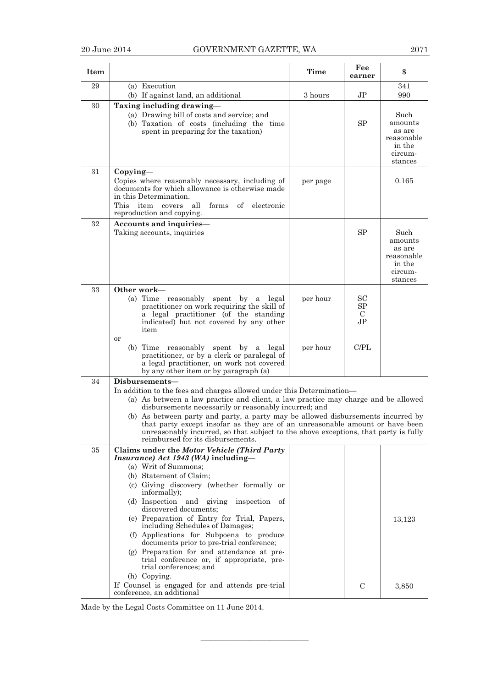|--|--|

| Item |                                                                                                                                                                                                                                                                                                                                                                                                                                                                                                                                        | <b>Time</b> | Fee<br>earner                                    | \$                                                                      |
|------|----------------------------------------------------------------------------------------------------------------------------------------------------------------------------------------------------------------------------------------------------------------------------------------------------------------------------------------------------------------------------------------------------------------------------------------------------------------------------------------------------------------------------------------|-------------|--------------------------------------------------|-------------------------------------------------------------------------|
| 29   | (a) Execution<br>(b) If against land, an additional                                                                                                                                                                                                                                                                                                                                                                                                                                                                                    | 3 hours     | J <sub>P</sub>                                   | 341<br>990                                                              |
| 30   | Taxing including drawing-<br>(a) Drawing bill of costs and service; and<br>(b) Taxation of costs (including the time<br>spent in preparing for the taxation)                                                                                                                                                                                                                                                                                                                                                                           |             | <b>SP</b>                                        | Such<br>amounts<br>as are<br>reasonable<br>in the<br>circum-<br>stances |
| 31   | $Copying -$<br>Copies where reasonably necessary, including of<br>documents for which allowance is otherwise made<br>in this Determination.<br>This item covers<br>$% \left( \left( \mathcal{A},\mathcal{A}\right) \right) =\left( \mathcal{A},\mathcal{A}\right)$ of<br>all<br>forms<br>electronic<br>reproduction and copying.                                                                                                                                                                                                       | per page    |                                                  | 0.165                                                                   |
| 32   | Accounts and inquiries-<br>Taking accounts, inquiries                                                                                                                                                                                                                                                                                                                                                                                                                                                                                  |             | <b>SP</b>                                        | Such<br>amounts<br>as are<br>reasonable<br>in the<br>circum-<br>stances |
| 33   | Other work-<br>$(a)$ Time<br>reasonably spent by<br>a legal<br>practitioner on work requiring the skill of<br>a legal practitioner (of the standing<br>indicated) but not covered by any other<br>item<br>or                                                                                                                                                                                                                                                                                                                           | per hour    | <b>SC</b><br>SP<br>$\mathbf C$<br>J <sub>P</sub> |                                                                         |
|      | reasonably spent by a legal<br>$(b)$ Time<br>practitioner, or by a clerk or paralegal of<br>a legal practitioner, on work not covered<br>by any other item or by paragraph (a)                                                                                                                                                                                                                                                                                                                                                         | per hour    | C/PL                                             |                                                                         |
| 34   | Disbursements—                                                                                                                                                                                                                                                                                                                                                                                                                                                                                                                         |             |                                                  |                                                                         |
|      | In addition to the fees and charges allowed under this Determination—<br>(a) As between a law practice and client, a law practice may charge and be allowed<br>disbursements necessarily or reasonably incurred; and<br>(b) As between party and party, a party may be allowed disbursements incurred by<br>that party except insofar as they are of an unreasonable amount or have been<br>unreasonably incurred, so that subject to the above exceptions, that party is fully<br>reimbursed for its disbursements.                   |             |                                                  |                                                                         |
| 35   | Claims under the Motor Vehicle (Third Party                                                                                                                                                                                                                                                                                                                                                                                                                                                                                            |             |                                                  |                                                                         |
|      | Insurance) Act 1943 (WA) including-<br>(a) Writ of Summons;<br>(b) Statement of Claim;<br>(c) Giving discovery (whether formally or<br>informally);<br>(d) Inspection and giving inspection of<br>discovered documents;<br>(e) Preparation of Entry for Trial, Papers,<br>including Schedules of Damages;<br>(f) Applications for Subpoena to produce<br>documents prior to pre-trial conference;<br>(g) Preparation for and attendance at pre-<br>trial conference or, if appropriate, pre-<br>trial conferences; and<br>(h) Copying. |             |                                                  | 13,123                                                                  |
|      | If Counsel is engaged for and attends pre-trial<br>conference, an additional                                                                                                                                                                                                                                                                                                                                                                                                                                                           |             | $\mathcal{C}$                                    | 3,850                                                                   |

———————————

Made by the Legal Costs Committee on 11 June 2014.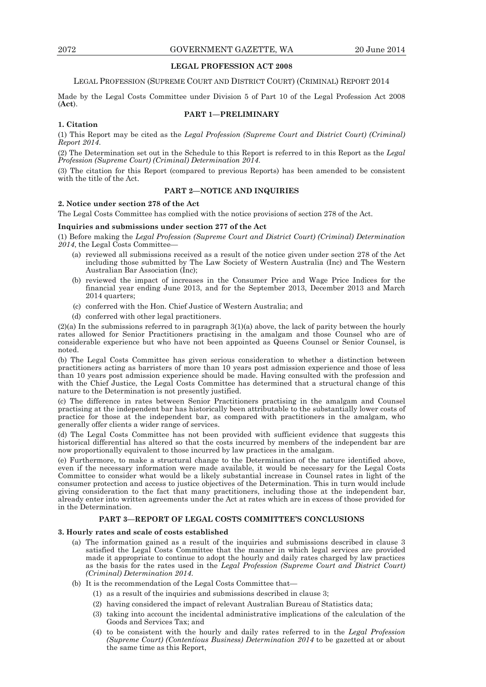## **LEGAL PROFESSION ACT 2008**

## LEGAL PROFESSION (SUPREME COURT AND DISTRICT COURT) (CRIMINAL) REPORT 2014

Made by the Legal Costs Committee under Division 5 of Part 10 of the Legal Profession Act 2008 (**Act**).

## **PART 1—PRELIMINARY**

#### **1. Citation**

(1) This Report may be cited as the *Legal Profession (Supreme Court and District Court) (Criminal) Report 2014*.

(2) The Determination set out in the Schedule to this Report is referred to in this Report as the *Legal Profession (Supreme Court) (Criminal) Determination 2014*.

(3) The citation for this Report (compared to previous Reports) has been amended to be consistent with the title of the Act.

## **PART 2—NOTICE AND INQUIRIES**

## **2. Notice under section 278 of the Act**

The Legal Costs Committee has complied with the notice provisions of section 278 of the Act.

#### **Inquiries and submissions under section 277 of the Act**

(1) Before making the *Legal Profession (Supreme Court and District Court) (Criminal) Determination 2014*, the Legal Costs Committee—

- (a) reviewed all submissions received as a result of the notice given under section 278 of the Act including those submitted by The Law Society of Western Australia (Inc) and The Western Australian Bar Association (Inc);
- (b) reviewed the impact of increases in the Consumer Price and Wage Price Indices for the financial year ending June 2013, and for the September 2013, December 2013 and March 2014 quarters:
- (c) conferred with the Hon. Chief Justice of Western Australia; and
- (d) conferred with other legal practitioners.

(2)(a) In the submissions referred to in paragraph 3(1)(a) above, the lack of parity between the hourly rates allowed for Senior Practitioners practising in the amalgam and those Counsel who are of considerable experience but who have not been appointed as Queens Counsel or Senior Counsel, is noted.

(b) The Legal Costs Committee has given serious consideration to whether a distinction between practitioners acting as barristers of more than 10 years post admission experience and those of less than 10 years post admission experience should be made. Having consulted with the profession and with the Chief Justice, the Legal Costs Committee has determined that a structural change of this nature to the Determination is not presently justified.

(c) The difference in rates between Senior Practitioners practising in the amalgam and Counsel practising at the independent bar has historically been attributable to the substantially lower costs of practice for those at the independent bar, as compared with practitioners in the amalgam, who generally offer clients a wider range of services.

(d) The Legal Costs Committee has not been provided with sufficient evidence that suggests this historical differential has altered so that the costs incurred by members of the independent bar are now proportionally equivalent to those incurred by law practices in the amalgam.

(e) Furthermore, to make a structural change to the Determination of the nature identified above, even if the necessary information were made available, it would be necessary for the Legal Costs Committee to consider what would be a likely substantial increase in Counsel rates in light of the consumer protection and access to justice objectives of the Determination. This in turn would include giving consideration to the fact that many practitioners, including those at the independent bar, already enter into written agreements under the Act at rates which are in excess of those provided for in the Determination.

#### **PART 3—REPORT OF LEGAL COSTS COMMITTEE'S CONCLUSIONS**

#### **3. Hourly rates and scale of costs established**

- (a) The information gained as a result of the inquiries and submissions described in clause 3 satisfied the Legal Costs Committee that the manner in which legal services are provided made it appropriate to continue to adopt the hourly and daily rates charged by law practices as the basis for the rates used in the *Legal Profession (Supreme Court and District Court) (Criminal) Determination 2014*.
- (b) It is the recommendation of the Legal Costs Committee that—
	- (1) as a result of the inquiries and submissions described in clause 3;
	- (2) having considered the impact of relevant Australian Bureau of Statistics data;
	- (3) taking into account the incidental administrative implications of the calculation of the Goods and Services Tax; and
	- (4) to be consistent with the hourly and daily rates referred to in the *Legal Profession (Supreme Court) (Contentious Business) Determination 2014* to be gazetted at or about the same time as this Report,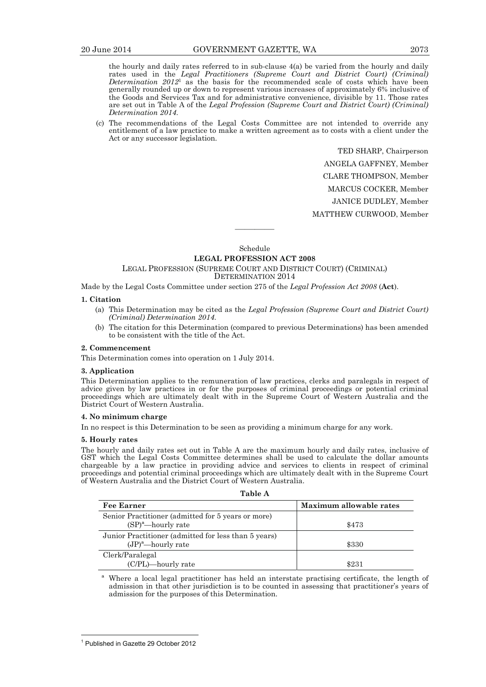the hourly and daily rates referred to in sub-clause 4(a) be varied from the hourly and daily rates used in the *Legal Practitioners (Supreme Court and District Court) (Criminal) Determination 2012*<sup>1</sup> as the basis for the recommended scale of costs which have been generally rounded up or down to represent various increases of approximately 6% inclusive of the Goods and Services Tax and for administrative convenience, divisible by 11. Those rates are set out in Table A of the *Legal Profession (Supreme Court and District Court) (Criminal) Determination 2014*.

 (c) The recommendations of the Legal Costs Committee are not intended to override any entitlement of a law practice to make a written agreement as to costs with a client under the Act or any successor legislation.

> TED SHARP, Chairperson ANGELA GAFFNEY, Member CLARE THOMPSON, Member MARCUS COCKER, Member JANICE DUDLEY, Member MATTHEW CURWOOD, Member

Schedule

————

## **LEGAL PROFESSION ACT 2008**

#### LEGAL PROFESSION (SUPREME COURT AND DISTRICT COURT) (CRIMINAL) DETERMINATION 2014

Made by the Legal Costs Committee under section 275 of the *Legal Profession Act 2008* (**Act**).

## **1. Citation**

- (a) This Determination may be cited as the *Legal Profession (Supreme Court and District Court) (Criminal) Determination 2014*.
- (b) The citation for this Determination (compared to previous Determinations) has been amended to be consistent with the title of the Act.

## **2. Commencement**

This Determination comes into operation on 1 July 2014.

#### **3. Application**

This Determination applies to the remuneration of law practices, clerks and paralegals in respect of advice given by law practices in or for the purposes of criminal proceedings or potential criminal proceedings which are ultimately dealt with in the Supreme Court of Western Australia and the District Court of Western Australia.

#### **4. No minimum charge**

In no respect is this Determination to be seen as providing a minimum charge for any work.

#### **5. Hourly rates**

The hourly and daily rates set out in Table A are the maximum hourly and daily rates, inclusive of GST which the Legal Costs Committee determines shall be used to calculate the dollar amounts chargeable by a law practice in providing advice and services to clients in respect of criminal proceedings and potential criminal proceedings which are ultimately dealt with in the Supreme Court of Western Australia and the District Court of Western Australia.

| н<br>٠<br>× |
|-------------|
|-------------|

| <b>Fee Earner</b>                                                             | Maximum allowable rates |
|-------------------------------------------------------------------------------|-------------------------|
| Senior Practitioner (admitted for 5 years or more)<br>$(SP)^a$ -hourly rate   | \$473                   |
| Junior Practitioner (admitted for less than 5 years)<br>$(JP)^a$ —hourly rate | \$330                   |
| Clerk/Paralegal<br>(C/PL)-hourly rate                                         | \$231                   |

Where a local legal practitioner has held an interstate practising certificate, the length of admission in that other jurisdiction is to be counted in assessing that practitioner's years of admission for the purposes of this Determination.

 $\overline{a}$ 

<sup>1</sup> Published in Gazette 29 October 2012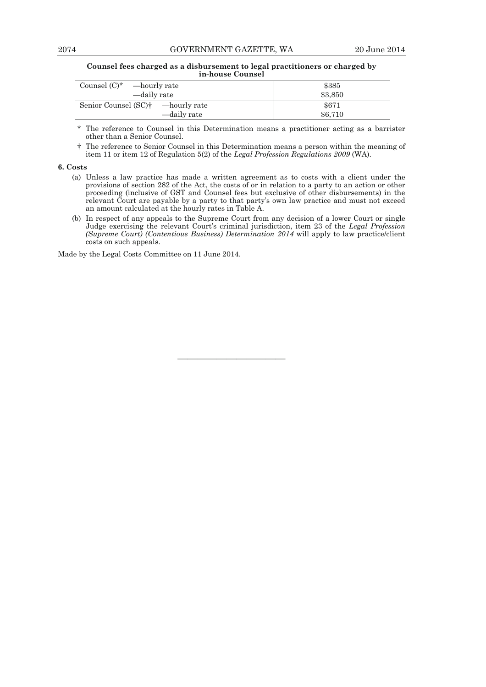## 2074 GOVERNMENT GAZETTE, WA 20 June 2014

#### **Counsel fees charged as a disbursement to legal practitioners or charged by in-house Counsel**

| Counsel $(C)^*$ —hourly rate                                | \$385            |
|-------------------------------------------------------------|------------------|
| —daily rate                                                 | \$3,850          |
| Senior Counsel $(SC)^{\dagger}$ —hourly rate<br>—daily rate | \$671<br>\$6.710 |

 \* The reference to Counsel in this Determination means a practitioner acting as a barrister other than a Senior Counsel.

 † The reference to Senior Counsel in this Determination means a person within the meaning of item 11 or item 12 of Regulation 5(2) of the *Legal Profession Regulations 2009* (WA).

## **6. Costs**

- (a) Unless a law practice has made a written agreement as to costs with a client under the provisions of section 282 of the Act, the costs of or in relation to a party to an action or other proceeding (inclusive of GST and Counsel fees but exclusive of other disbursements) in the relevant Court are payable by a party to that party's own law practice and must not exceed an amount calculated at the hourly rates in Table A.
- (b) In respect of any appeals to the Supreme Court from any decision of a lower Court or single Judge exercising the relevant Court's criminal jurisdiction, item 23 of the *Legal Profession (Supreme Court) (Contentious Business) Determination 2014* will apply to law practice/client costs on such appeals.

———————————

Made by the Legal Costs Committee on 11 June 2014.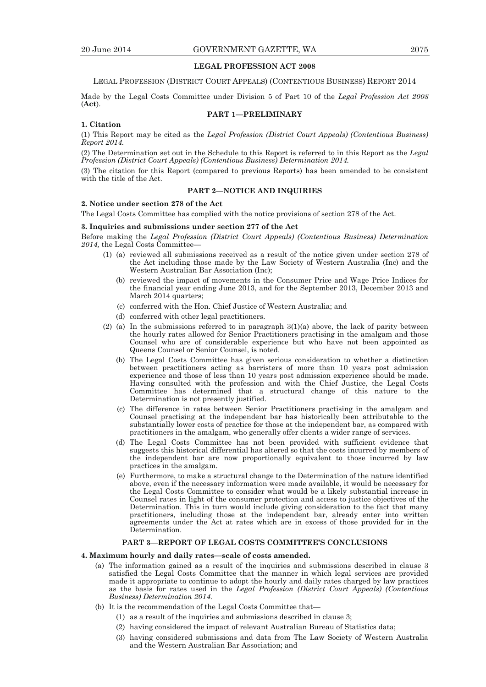## **LEGAL PROFESSION ACT 2008**

LEGAL PROFESSION (DISTRICT COURT APPEALS) (CONTENTIOUS BUSINESS) REPORT 2014

Made by the Legal Costs Committee under Division 5 of Part 10 of the *Legal Profession Act 2008* (**Act**).

## **PART 1—PRELIMINARY**

#### **1. Citation**

(1) This Report may be cited as the *Legal Profession (District Court Appeals) (Contentious Business) Report 2014.*

(2) The Determination set out in the Schedule to this Report is referred to in this Report as the *Legal Profession (District Court Appeals) (Contentious Business) Determination 2014.* 

(3) The citation for this Report (compared to previous Reports) has been amended to be consistent with the title of the Act.

## **PART 2—NOTICE AND INQUIRIES**

## **2. Notice under section 278 of the Act**

The Legal Costs Committee has complied with the notice provisions of section 278 of the Act.

## **3. Inquiries and submissions under section 277 of the Act**

Before making the *Legal Profession (District Court Appeals) (Contentious Business) Determination*  2014, the Legal Costs Committee-

- (1) (a) reviewed all submissions received as a result of the notice given under section 278 of the Act including those made by the Law Society of Western Australia (Inc) and the Western Australian Bar Association (Inc);
	- (b) reviewed the impact of movements in the Consumer Price and Wage Price Indices for the financial year ending June 2013, and for the September 2013, December 2013 and March 2014 quarters;
	- (c) conferred with the Hon. Chief Justice of Western Australia; and
	- (d) conferred with other legal practitioners.
- (2) (a) In the submissions referred to in paragraph  $3(1)(a)$  above, the lack of parity between the hourly rates allowed for Senior Practitioners practising in the amalgam and those Counsel who are of considerable experience but who have not been appointed as Queens Counsel or Senior Counsel, is noted.
	- (b) The Legal Costs Committee has given serious consideration to whether a distinction between practitioners acting as barristers of more than 10 years post admission experience and those of less than 10 years post admission experience should be made. Having consulted with the profession and with the Chief Justice, the Legal Costs Committee has determined that a structural change of this nature to the Determination is not presently justified.
	- (c) The difference in rates between Senior Practitioners practising in the amalgam and Counsel practising at the independent bar has historically been attributable to the substantially lower costs of practice for those at the independent bar, as compared with practitioners in the amalgam, who generally offer clients a wider range of services.
	- (d) The Legal Costs Committee has not been provided with sufficient evidence that suggests this historical differential has altered so that the costs incurred by members of the independent bar are now proportionally equivalent to those incurred by law practices in the amalgam.
	- (e) Furthermore, to make a structural change to the Determination of the nature identified above, even if the necessary information were made available, it would be necessary for the Legal Costs Committee to consider what would be a likely substantial increase in Counsel rates in light of the consumer protection and access to justice objectives of the Determination. This in turn would include giving consideration to the fact that many practitioners, including those at the independent bar, already enter into written agreements under the Act at rates which are in excess of those provided for in the Determination.

## **PART 3—REPORT OF LEGAL COSTS COMMITTEE'S CONCLUSIONS**

#### **4. Maximum hourly and daily rates—scale of costs amended.**

- (a) The information gained as a result of the inquiries and submissions described in clause 3 satisfied the Legal Costs Committee that the manner in which legal services are provided made it appropriate to continue to adopt the hourly and daily rates charged by law practices as the basis for rates used in the *Legal Profession (District Court Appeals) (Contentious Business) Determination 2014.*
- (b) It is the recommendation of the Legal Costs Committee that—
	- (1) as a result of the inquiries and submissions described in clause 3;
	- (2) having considered the impact of relevant Australian Bureau of Statistics data;
	- (3) having considered submissions and data from The Law Society of Western Australia and the Western Australian Bar Association; and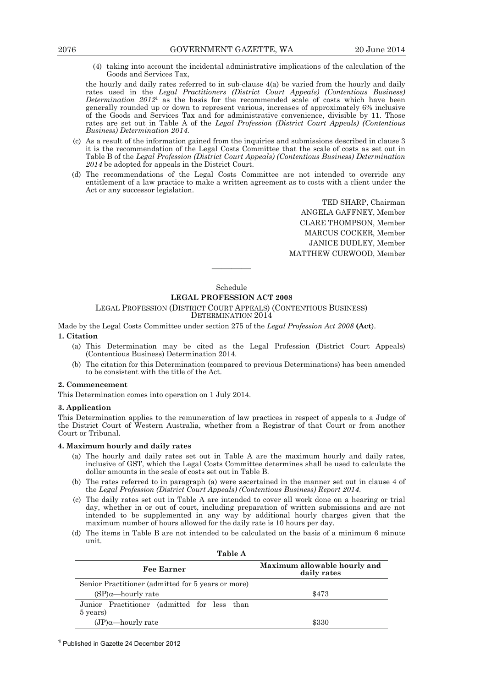(4) taking into account the incidental administrative implications of the calculation of the Goods and Services Tax,

 the hourly and daily rates referred to in sub-clause 4(a) be varied from the hourly and daily rates used in the *Legal Practitioners (District Court Appeals) (Contentious Business) Determination 2012*1 as the basis for the recommended scale of costs which have been generally rounded up or down to represent various, increases of approximately 6% inclusive of the Goods and Services Tax and for administrative convenience, divisible by 11. Those rates are set out in Table A of the *Legal Profession (District Court Appeals) (Contentious Business) Determination 2014*.

- (c) As a result of the information gained from the inquiries and submissions described in clause 3 it is the recommendation of the Legal Costs Committee that the scale of costs as set out in Table B of the *Legal Profession (District Court Appeals) (Contentious Business) Determination 2014* be adopted for appeals in the District Court.
- (d) The recommendations of the Legal Costs Committee are not intended to override any entitlement of a law practice to make a written agreement as to costs with a client under the Act or any successor legislation.

TED SHARP, Chairman ANGELA GAFFNEY, Member CLARE THOMPSON, Member MARCUS COCKER, Member JANICE DUDLEY, Member MATTHEW CURWOOD, Member

Schedule

————

## **LEGAL PROFESSION ACT 2008**

## LEGAL PROFESSION (DISTRICT COURT APPEALS) (CONTENTIOUS BUSINESS)

DETERMINATION 2014

Made by the Legal Costs Committee under section 275 of the *Legal Profession Act 2008* **(Act**).

## **1. Citation**

- (a) This Determination may be cited as the Legal Profession (District Court Appeals) (Contentious Business) Determination 2014.
- (b) The citation for this Determination (compared to previous Determinations) has been amended to be consistent with the title of the Act.

#### **2. Commencement**

This Determination comes into operation on 1 July 2014.

#### **3. Application**

This Determination applies to the remuneration of law practices in respect of appeals to a Judge of the District Court of Western Australia, whether from a Registrar of that Court or from another Court or Tribunal.

#### **4. Maximum hourly and daily rates**

- (a) The hourly and daily rates set out in Table A are the maximum hourly and daily rates, inclusive of GST, which the Legal Costs Committee determines shall be used to calculate the dollar amounts in the scale of costs set out in Table B.
- (b) The rates referred to in paragraph (a) were ascertained in the manner set out in clause 4 of the *Legal Profession (District Court Appeals) (Contentious Business) Report 2014*.
- (c) The daily rates set out in Table A are intended to cover all work done on a hearing or trial day, whether in or out of court, including preparation of written submissions and are not intended to be supplemented in any way by additional hourly charges given that the maximum number of hours allowed for the daily rate is 10 hours per day.
- (d) The items in Table B are not intended to be calculated on the basis of a minimum 6 minute unit.

| Table A                                                 |                                             |
|---------------------------------------------------------|---------------------------------------------|
| <b>Fee Earner</b>                                       | Maximum allowable hourly and<br>daily rates |
| Senior Practitioner (admitted for 5 years or more)      |                                             |
| $(SP)$ <sub>a</sub> —hourly rate                        | \$473                                       |
| Junior Practitioner (admitted for less than<br>5 years) |                                             |
| $(JP)\alpha$ -hourly rate                               | \$330                                       |

 $\overline{a}$ <sup>1i</sup> Published in Gazette 24 December 2012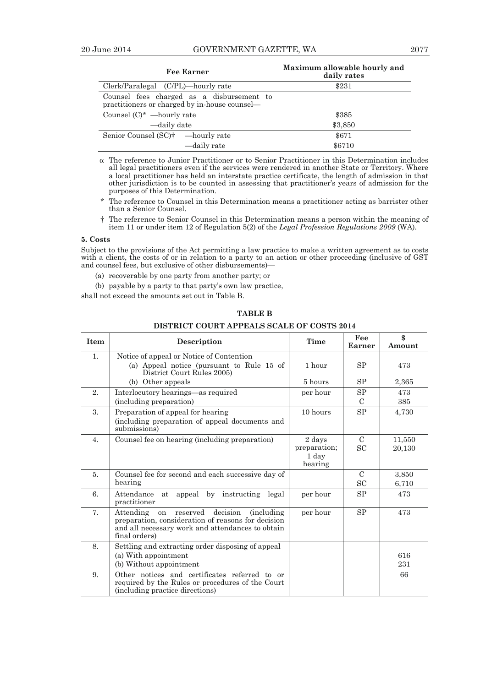| <b>Fee Earner</b>                                                                          | Maximum allowable hourly and<br>daily rates |
|--------------------------------------------------------------------------------------------|---------------------------------------------|
| Clerk/Paralegal (C/PL)—hourly rate                                                         | \$231                                       |
| Counsel fees charged as a disbursement to<br>practitioners or charged by in-house counsel— |                                             |
| Counsel $(C)^*$ —hourly rate                                                               | \$385                                       |
| —daily date                                                                                | \$3,850                                     |
| Senior Counsel (SC) <sup>†</sup> — hourly rate                                             | \$671                                       |
| —daily rate                                                                                | \$6710                                      |

- $\alpha$  The reference to Junior Practitioner or to Senior Practitioner in this Determination includes all legal practitioners even if the services were rendered in another State or Territory. Where a local practitioner has held an interstate practice certificate, the length of admission in that other jurisdiction is to be counted in assessing that practitioner's years of admission for the purposes of this Determination.
- \* The reference to Counsel in this Determination means a practitioner acting as barrister other than a Senior Counsel.
- † The reference to Senior Counsel in this Determination means a person within the meaning of item 11 or under item 12 of Regulation 5(2) of the *Legal Profession Regulations 2009* (WA).

## **5. Costs**

Subject to the provisions of the Act permitting a law practice to make a written agreement as to costs with a client, the costs of or in relation to a party to an action or other proceeding (inclusive of GST and counsel fees, but exclusive of other disbursements)—

- (a) recoverable by one party from another party; or
- (b) payable by a party to that party's own law practice,

shall not exceed the amounts set out in Table B.

| <b>Item</b>      | <b>Description</b>                                                                                                                                                                       | Time                                       | Fee<br>Earner              | \$<br>Amount     |
|------------------|------------------------------------------------------------------------------------------------------------------------------------------------------------------------------------------|--------------------------------------------|----------------------------|------------------|
| 1.               | Notice of appeal or Notice of Contention<br>(a) Appeal notice (pursuant to Rule 15 of<br>District Court Rules 2005)                                                                      | 1 hour                                     | SP                         | 473              |
|                  | (b) Other appeals                                                                                                                                                                        | 5 hours                                    | SP                         | 2,365            |
| 2.               | Interlocutory hearings—as required<br>(including preparation)                                                                                                                            | per hour                                   | SP<br>$\mathcal{C}$        | 473<br>385       |
| 3.               | Preparation of appeal for hearing<br>(including preparation of appeal documents and<br>submissions)                                                                                      | 10 hours                                   | SP                         | 4,730            |
| $\overline{4}$ . | Counsel fee on hearing (including preparation)                                                                                                                                           | 2 days<br>preparation;<br>1 dav<br>hearing | $\mathcal{C}$<br><b>SC</b> | 11,550<br>20,130 |
| 5.               | Counsel fee for second and each successive day of<br>hearing                                                                                                                             |                                            | $\mathcal{C}$<br>SC        | 3,850<br>6,710   |
| 6.               | Attendance<br>appeal by instructing legal<br>at<br>practitioner                                                                                                                          | per hour                                   | SP                         | 473              |
| 7.               | decision<br>reserved<br>Attending<br><i>(including)</i><br>on<br>preparation, consideration of reasons for decision<br>and all necessary work and attendances to obtain<br>final orders) | per hour                                   | <b>SP</b>                  | 473              |
| 8.               | Settling and extracting order disposing of appeal<br>(a) With appointment<br>(b) Without appointment                                                                                     |                                            |                            | 616<br>231       |
| 9.               | Other notices and certificates referred to or<br>required by the Rules or procedures of the Court<br>(including practice directions)                                                     |                                            |                            | 66               |

## **TABLE B**

## **DISTRICT COURT APPEALS SCALE OF COSTS 2014**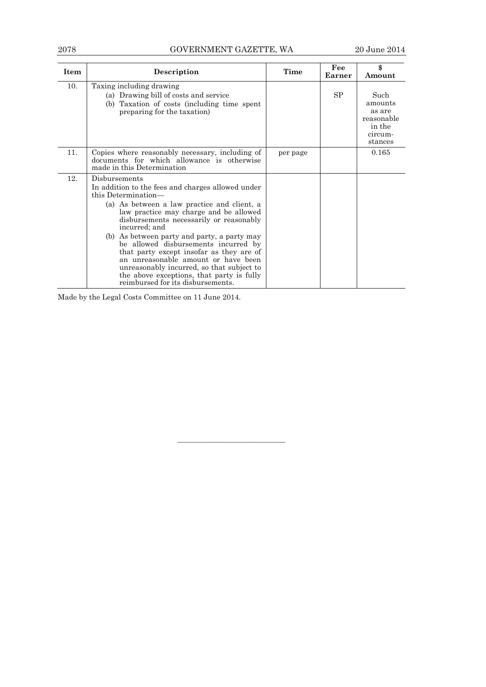## 2078 GOVERNMENT GAZETTE, WA 20 June 2014

| <b>Item</b> | Description                                                                                                                                                                                                                                                                                                                                                                                                                                                                                                                                             | Time     | Fee<br>Earner | \$<br>Amount                                                            |
|-------------|---------------------------------------------------------------------------------------------------------------------------------------------------------------------------------------------------------------------------------------------------------------------------------------------------------------------------------------------------------------------------------------------------------------------------------------------------------------------------------------------------------------------------------------------------------|----------|---------------|-------------------------------------------------------------------------|
| 10.         | Taxing including drawing<br>(a) Drawing bill of costs and service<br>(b) Taxation of costs (including time spent<br>preparing for the taxation)                                                                                                                                                                                                                                                                                                                                                                                                         |          | SP            | Such<br>amounts<br>as are<br>reasonable<br>in the<br>circum-<br>stances |
| 11.         | Copies where reasonably necessary, including of<br>documents for which allowance is otherwise<br>made in this Determination                                                                                                                                                                                                                                                                                                                                                                                                                             | per page |               | 0.165                                                                   |
| 12.         | Disbursements<br>In addition to the fees and charges allowed under<br>this Determination—<br>(a) As between a law practice and client, a<br>law practice may charge and be allowed<br>disbursements necessarily or reasonably<br>incurred; and<br>(b) As between party and party, a party may<br>be allowed disbursements incurred by<br>that party except insofar as they are of<br>an unreasonable amount or have been<br>unreasonably incurred, so that subject to<br>the above exceptions, that party is fully<br>reimbursed for its disbursements. |          |               |                                                                         |

———————————

Made by the Legal Costs Committee on 11 June 2014.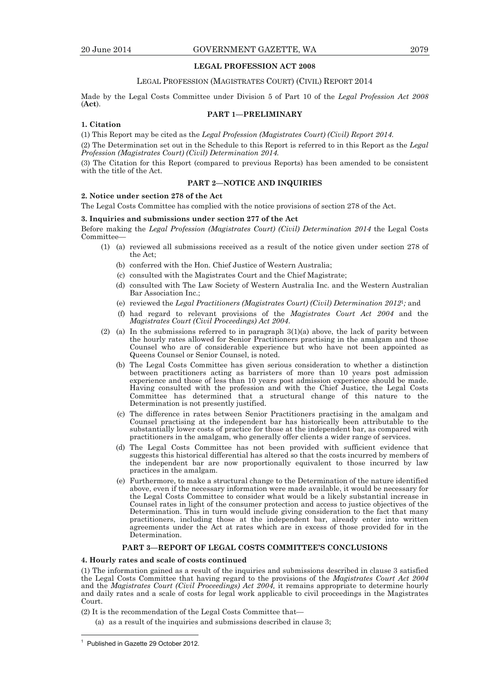## **LEGAL PROFESSION ACT 2008**

## LEGAL PROFESSION (MAGISTRATES COURT) (CIVIL) REPORT 2014

Made by the Legal Costs Committee under Division 5 of Part 10 of the *Legal Profession Act 2008* (**Act**).

## **PART 1—PRELIMINARY**

## **1. Citation**

(1) This Report may be cited as the *Legal Profession (Magistrates Court) (Civil) Report 2014.* 

(2) The Determination set out in the Schedule to this Report is referred to in this Report as the *Legal Profession (Magistrates Court) (Civil) Determination 2014.* 

(3) The Citation for this Report (compared to previous Reports) has been amended to be consistent with the title of the Act.

## **PART 2—NOTICE AND INQUIRIES**

#### **2. Notice under section 278 of the Act**

The Legal Costs Committee has complied with the notice provisions of section 278 of the Act.

#### **3. Inquiries and submissions under section 277 of the Act**

Before making the *Legal Profession (Magistrates Court) (Civil) Determination 2014* the Legal Costs Committee—

- (1) (a) reviewed all submissions received as a result of the notice given under section 278 of the Act;
	- (b) conferred with the Hon. Chief Justice of Western Australia;
	- (c) consulted with the Magistrates Court and the Chief Magistrate;
	- (d) consulted with The Law Society of Western Australia Inc. and the Western Australian Bar Association Inc.;
	- (e) reviewed the *Legal Practitioners (Magistrates Court) (Civil) Determination 2012*<sup>1</sup>*;* and
	- (f) had regard to relevant provisions of the *Magistrates Court Act 2004* and the *Magistrates Court (Civil Proceedings) Act 2004*.
- (2) (a) In the submissions referred to in paragraph  $3(1)(a)$  above, the lack of parity between the hourly rates allowed for Senior Practitioners practising in the amalgam and those Counsel who are of considerable experience but who have not been appointed as Queens Counsel or Senior Counsel, is noted.
	- (b) The Legal Costs Committee has given serious consideration to whether a distinction between practitioners acting as barristers of more than 10 years post admission experience and those of less than 10 years post admission experience should be made. Having consulted with the profession and with the Chief Justice, the Legal Costs Committee has determined that a structural change of this nature to the Determination is not presently justified.
	- (c) The difference in rates between Senior Practitioners practising in the amalgam and Counsel practising at the independent bar has historically been attributable to the substantially lower costs of practice for those at the independent bar, as compared with practitioners in the amalgam, who generally offer clients a wider range of services.
	- (d) The Legal Costs Committee has not been provided with sufficient evidence that suggests this historical differential has altered so that the costs incurred by members of the independent bar are now proportionally equivalent to those incurred by law practices in the amalgam.
	- (e) Furthermore, to make a structural change to the Determination of the nature identified above, even if the necessary information were made available, it would be necessary for the Legal Costs Committee to consider what would be a likely substantial increase in Counsel rates in light of the consumer protection and access to justice objectives of the Determination. This in turn would include giving consideration to the fact that many practitioners, including those at the independent bar, already enter into written agreements under the Act at rates which are in excess of those provided for in the Determination.

### **PART 3—REPORT OF LEGAL COSTS COMMITTEE'S CONCLUSIONS**

#### **4. Hourly rates and scale of costs continued**

(1) The information gained as a result of the inquiries and submissions described in clause 3 satisfied the Legal Costs Committee that having regard to the provisions of the *Magistrates Court Act 2004* and the *Magistrates Court (Civil Proceedings) Act 2004,* it remains appropriate to determine hourly and daily rates and a scale of costs for legal work applicable to civil proceedings in the Magistrates Court.

(2) It is the recommendation of the Legal Costs Committee that—

(a) as a result of the inquiries and submissions described in clause 3;

 $\overline{a}$ 

<sup>1</sup> Published in Gazette 29 October 2012.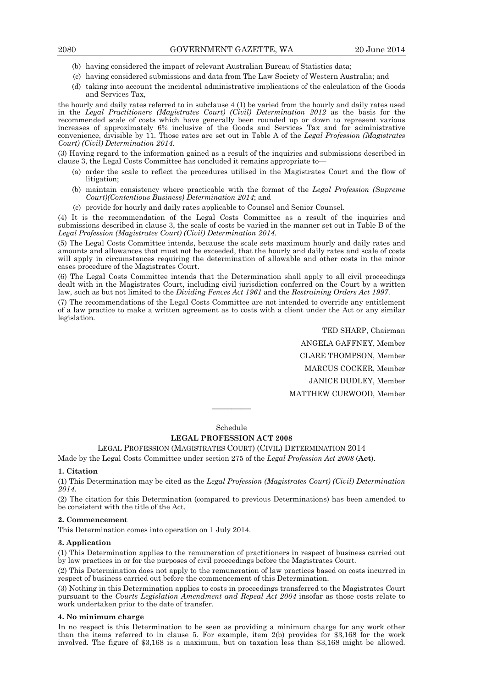- (b) having considered the impact of relevant Australian Bureau of Statistics data;
- (c) having considered submissions and data from The Law Society of Western Australia; and
- (d) taking into account the incidental administrative implications of the calculation of the Goods and Services Tax,

the hourly and daily rates referred to in subclause 4 (1) be varied from the hourly and daily rates used in the *Legal Practitioners (Magistrates Court) (Civil) Determination 2012* as the basis for the recommended scale of costs which have generally been rounded up or down to represent various increases of approximately 6% inclusive of the Goods and Services Tax and for administrative convenience, divisible by 11. Those rates are set out in Table A of the *Legal Profession (Magistrates Court) (Civil) Determination 2014.* 

(3) Having regard to the information gained as a result of the inquiries and submissions described in clause 3, the Legal Costs Committee has concluded it remains appropriate to—

- (a) order the scale to reflect the procedures utilised in the Magistrates Court and the flow of litigation;
- (b) maintain consistency where practicable with the format of the *Legal Profession (Supreme Court)(Contentious Business) Determination 2014*; and
	- (c) provide for hourly and daily rates applicable to Counsel and Senior Counsel.

(4) It is the recommendation of the Legal Costs Committee as a result of the inquiries and submissions described in clause 3, the scale of costs be varied in the manner set out in Table B of the *Legal Profession (Magistrates Court) (Civil) Determination 2014.*

(5) The Legal Costs Committee intends, because the scale sets maximum hourly and daily rates and amounts and allowances that must not be exceeded, that the hourly and daily rates and scale of costs will apply in circumstances requiring the determination of allowable and other costs in the minor cases procedure of the Magistrates Court.

(6) The Legal Costs Committee intends that the Determination shall apply to all civil proceedings dealt with in the Magistrates Court, including civil jurisdiction conferred on the Court by a written law, such as but not limited to the *Dividing Fences Act 1961* and the *Restraining Orders Act 1997*.

(7) The recommendations of the Legal Costs Committee are not intended to override any entitlement of a law practice to make a written agreement as to costs with a client under the Act or any similar legislation*.* 

> TED SHARP, Chairman ANGELA GAFFNEY, Member CLARE THOMPSON, Member MARCUS COCKER, Member JANICE DUDLEY, Member MATTHEW CURWOOD, Member

Schedule

————

## **LEGAL PROFESSION ACT 2008**

## LEGAL PROFESSION (MAGISTRATES COURT) (CIVIL) DETERMINATION 2014

Made by the Legal Costs Committee under section 275 of the *Legal Profession Act 2008* (**Act**).

## **1. Citation**

(1) This Determination may be cited as the *Legal Profession (Magistrates Court) (Civil) Determination 2014*.

(2) The citation for this Determination (compared to previous Determinations) has been amended to be consistent with the title of the Act.

## **2. Commencement**

This Determination comes into operation on 1 July 2014.

#### **3. Application**

(1) This Determination applies to the remuneration of practitioners in respect of business carried out by law practices in or for the purposes of civil proceedings before the Magistrates Court.

(2) This Determination does not apply to the remuneration of law practices based on costs incurred in respect of business carried out before the commencement of this Determination.

(3) Nothing in this Determination applies to costs in proceedings transferred to the Magistrates Court pursuant to the *Courts Legislation Amendment and Repeal Act 2004* insofar as those costs relate to work undertaken prior to the date of transfer.

#### **4. No minimum charge**

In no respect is this Determination to be seen as providing a minimum charge for any work other than the items referred to in clause 5. For example, item 2(b) provides for \$3,168 for the work involved. The figure of \$3,168 is a maximum, but on taxation less than \$3,168 might be allowed.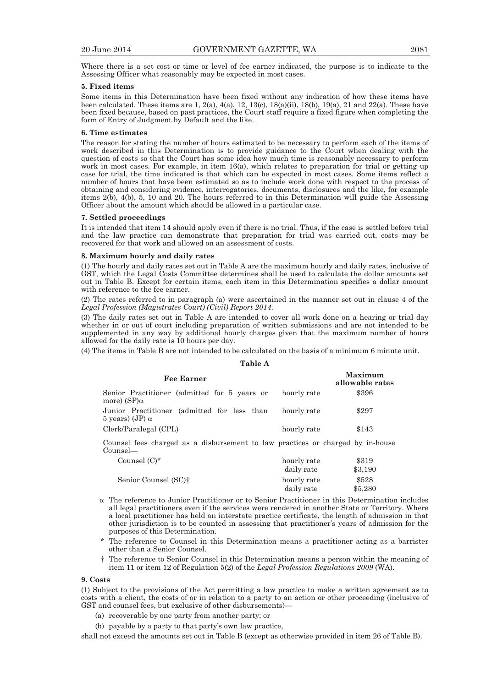Where there is a set cost or time or level of fee earner indicated, the purpose is to indicate to the Assessing Officer what reasonably may be expected in most cases.

#### **5. Fixed items**

Some items in this Determination have been fixed without any indication of how these items have been calculated. These items are 1,  $2(a)$ ,  $4(a)$ ,  $12$ ,  $13(c)$ ,  $18(a)$ (ii),  $18(b)$ ,  $19(a)$ ,  $21$  and  $22(a)$ . These have been fixed because, based on past practices, the Court staff require a fixed figure when completing the form of Entry of Judgment by Default and the like.

#### **6. Time estimates**

The reason for stating the number of hours estimated to be necessary to perform each of the items of work described in this Determination is to provide guidance to the Court when dealing with the question of costs so that the Court has some idea how much time is reasonably necessary to perform work in most cases. For example, in item 16(a), which relates to preparation for trial or getting up case for trial, the time indicated is that which can be expected in most cases. Some items reflect a number of hours that have been estimated so as to include work done with respect to the process of obtaining and considering evidence, interrogatories, documents, disclosures and the like, for example items 2(b), 4(b), 5, 10 and 20. The hours referred to in this Determination will guide the Assessing Officer about the amount which should be allowed in a particular case.

#### **7. Settled proceedings**

It is intended that item 14 should apply even if there is no trial. Thus, if the case is settled before trial and the law practice can demonstrate that preparation for trial was carried out, costs may be recovered for that work and allowed on an assessment of costs.

#### **8. Maximum hourly and daily rates**

(1) The hourly and daily rates set out in Table A are the maximum hourly and daily rates, inclusive of GST, which the Legal Costs Committee determines shall be used to calculate the dollar amounts set out in Table B. Except for certain items, each item in this Determination specifies a dollar amount with reference to the fee earner.

(2) The rates referred to in paragraph (a) were ascertained in the manner set out in clause 4 of the *Legal Profession (Magistrates Court) (Civil) Report 2014*.

(3) The daily rates set out in Table A are intended to cover all work done on a hearing or trial day whether in or out of court including preparation of written submissions and are not intended to be supplemented in any way by additional hourly charges given that the maximum number of hours allowed for the daily rate is 10 hours per day.

(4) The items in Table B are not intended to be calculated on the basis of a minimum 6 minute unit. **Table A** 

| Fee Earner                                                                                 |             | Maximum<br>allowable rates |
|--------------------------------------------------------------------------------------------|-------------|----------------------------|
| Senior Practitioner (admitted for 5 years or<br>more) (SP)α                                | hourly rate | \$396                      |
| Junior Practitioner (admitted for less than<br>5 years) (JP) α                             | hourly rate | \$297                      |
| Clerk/Paralegal (CPL)                                                                      | hourly rate | \$143                      |
| Counsel fees charged as a disbursement to law practices or charged by in-house<br>Counsel— |             |                            |
| Counsel $(C)^*$                                                                            | hourly rate | \$319                      |
|                                                                                            | daily rate  | \$3,190                    |
| Senior Counsel (SC) <sup>†</sup>                                                           | hourly rate | \$528                      |

#### $\alpha$  The reference to Junior Practitioner or to Senior Practitioner in this Determination includes all legal practitioners even if the services were rendered in another State or Territory. Where a local practitioner has held an interstate practice certificate, the length of admission in that other jurisdiction is to be counted in assessing that practitioner's years of admission for the purposes of this Determination.

daily rate

\$5,280

- The reference to Counsel in this Determination means a practitioner acting as a barrister other than a Senior Counsel.
- † The reference to Senior Counsel in this Determination means a person within the meaning of item 11 or item 12 of Regulation 5(2) of the *Legal Profession Regulations 2009* (WA).

#### **9. Costs**

(1) Subject to the provisions of the Act permitting a law practice to make a written agreement as to costs with a client, the costs of or in relation to a party to an action or other proceeding (inclusive of GST and counsel fees, but exclusive of other disbursements)—

- (a) recoverable by one party from another party; or
- (b) payable by a party to that party's own law practice,

shall not exceed the amounts set out in Table B (except as otherwise provided in item 26 of Table B).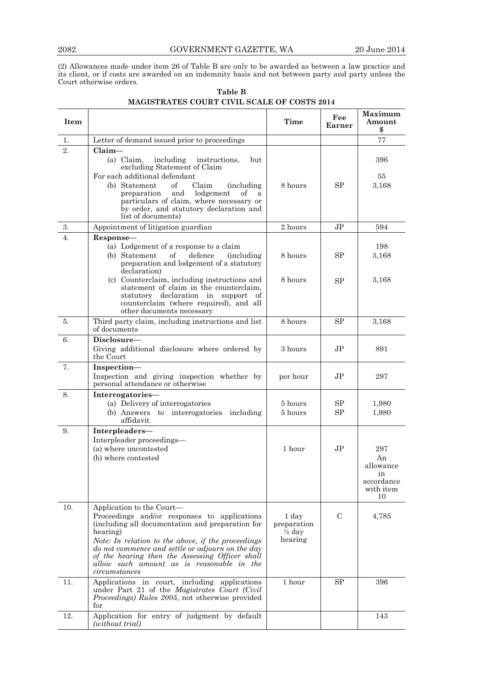(2) Allowances made under item 26 of Table B are only to be awarded as between a law practice and its client, or if costs are awarded on an indemnity basis and not between party and party unless the Court otherwise orders.

| Item |                                                                                                                                                                                                                                                                                                                                                                      | Time                                                 | Fee<br>Earner  | Maximum<br>Amount<br>\$                                       |
|------|----------------------------------------------------------------------------------------------------------------------------------------------------------------------------------------------------------------------------------------------------------------------------------------------------------------------------------------------------------------------|------------------------------------------------------|----------------|---------------------------------------------------------------|
| 1.   | Letter of demand issued prior to proceedings                                                                                                                                                                                                                                                                                                                         |                                                      |                | 77                                                            |
| 2.   | $Claim-$<br>$(a)$ Claim.<br>including<br>instructions,<br>but<br>excluding Statement of Claim<br>For each additional defendant<br>(b) Statement<br>οf<br>Claim<br><i>(including)</i><br>lodgement<br>preparation<br>and<br>of<br>a<br>particulars of claim, where necessary or<br>by order, and statutory declaration and                                            | 8 hours                                              | SP             | 396<br>55<br>3,168                                            |
|      | list of documents)                                                                                                                                                                                                                                                                                                                                                   |                                                      |                |                                                               |
| 3.   | Appointment of litigation guardian                                                                                                                                                                                                                                                                                                                                   | 2 hours                                              | J <sub>P</sub> | 594                                                           |
| 4.   | Response-<br>(a) Lodgement of a response to a claim<br>of<br>(b) Statement<br>defence (including<br>preparation and lodgement of a statutory<br>declaration)                                                                                                                                                                                                         | 8 hours                                              | SP             | 198<br>3.168                                                  |
|      | (c) Counterclaim, including instructions and<br>statement of claim in the counterclaim,<br>statutory declaration in support of<br>counterclaim (where required), and all<br>other documents necessary                                                                                                                                                                | 8 hours                                              | SP             | 3.168                                                         |
| 5.   | Third party claim, including instructions and list<br>of documents                                                                                                                                                                                                                                                                                                   | 8 hours                                              | SP             | 3,168                                                         |
| 6.   | Disclosure-<br>Giving additional disclosure where ordered by<br>the Court                                                                                                                                                                                                                                                                                            | 3 hours                                              | $\rm{JP}$      | 891                                                           |
| 7.   | Inspection-<br>Inspection and giving inspection whether by<br>personal attendance or otherwise                                                                                                                                                                                                                                                                       | per hour                                             | $\rm{JP}$      | 297                                                           |
| 8.   | Interrogatories-<br>(a) Delivery of interrogatories<br>(b) Answers to interrogatories including<br>affidavit                                                                                                                                                                                                                                                         | 5 hours<br>5 hours                                   | SP<br>SP       | 1,980<br>1,980                                                |
| 9.   | Interpleaders-<br>Interpleader proceedings-<br>(a) where uncontested<br>(b) where contested                                                                                                                                                                                                                                                                          | 1 hour                                               | JP.            | 297<br>An<br>allowance<br>ın<br>accordance<br>with item<br>10 |
| 10.  | Application to the Court—<br>Proceedings and/or responses to applications<br>(including all documentation and preparation for<br>hearing)<br>Note: In relation to the above, if the proceedings<br>do not commence and settle or adjourn on the day<br>of the hearing then the Assessing Officer shall<br>allow such amount as is reasonable in the<br>circumstances | 1 day<br>preparation<br>$\frac{1}{2}$ day<br>hearing | C              | 4,785                                                         |
| 11.  | Applications in court, including applications<br>under Part 21 of the Magistrates Court (Civil<br><i>Proceedings) Rules 2005</i> , not otherwise provided<br>for                                                                                                                                                                                                     | 1 hour                                               | SP             | 396                                                           |
| 12.  | Application for entry of judgment by default<br>(without trial)                                                                                                                                                                                                                                                                                                      |                                                      |                | 143                                                           |

| Table B                                     |  |
|---------------------------------------------|--|
| MAGISTRATES COURT CIVIL SCALE OF COSTS 2014 |  |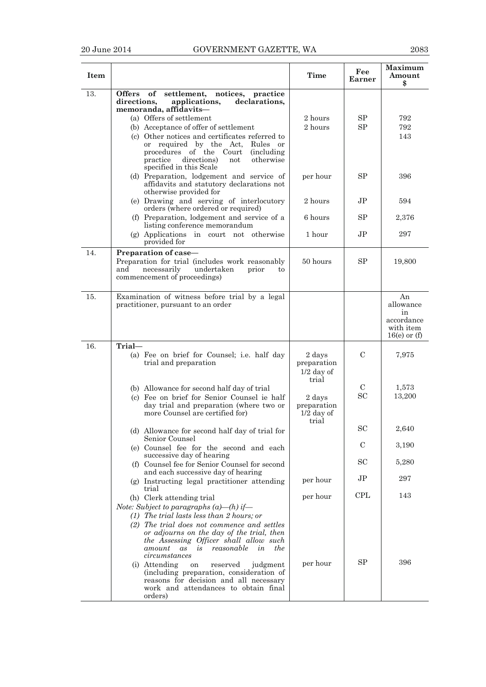| <b>Item</b> |                                                                                                                                                                                                                                                                                                                                      | <b>Time</b>                                    | Fee<br>Earner  | <b>Maximum</b><br>Amount<br>\$                                     |
|-------------|--------------------------------------------------------------------------------------------------------------------------------------------------------------------------------------------------------------------------------------------------------------------------------------------------------------------------------------|------------------------------------------------|----------------|--------------------------------------------------------------------|
| 13.         | Offers of<br>settlement, notices, practice<br>directions,<br>applications,<br>declarations.<br>memoranda, affidavits-<br>(a) Offers of settlement<br>(b) Acceptance of offer of settlement<br>(c) Other notices and certificates referred to<br>or required by the Act.<br>Rules or<br>procedures of the Court<br><i>(including)</i> | $2\;{\rm hours}$<br>2 hours                    | SP<br>SP       | 792<br>792<br>143                                                  |
|             | practice<br>directions)<br>otherwise<br>not<br>specified in this Scale<br>(d) Preparation, lodgement and service of<br>affidavits and statutory declarations not<br>otherwise provided for<br>(e) Drawing and serving of interlocutory                                                                                               | per hour<br>2 hours                            | SP<br>JP.      | 396<br>594                                                         |
|             | orders (where ordered or required)                                                                                                                                                                                                                                                                                                   |                                                | SP             |                                                                    |
|             | (f) Preparation, lodgement and service of a<br>listing conference memorandum                                                                                                                                                                                                                                                         | 6 hours                                        |                | 2,376                                                              |
|             | (g) Applications in court not otherwise<br>provided for                                                                                                                                                                                                                                                                              | 1 hour                                         | JP             | 297                                                                |
| 14.         | Preparation of case-<br>Preparation for trial (includes work reasonably<br>necessarily<br>undertaken<br>and<br>prior<br>to<br>commencement of proceedings)                                                                                                                                                                           | 50 hours                                       | <b>SP</b>      | 19,800                                                             |
| 15.         | Examination of witness before trial by a legal<br>practitioner, pursuant to an order                                                                                                                                                                                                                                                 |                                                |                | An<br>allowance<br>in<br>accordance<br>with item<br>$16(e)$ or (f) |
| 16.         | Trial-<br>(a) Fee on brief for Counsel; i.e. half day<br>trial and preparation                                                                                                                                                                                                                                                       | 2 days<br>preparation<br>$1/2$ day of<br>trial | C              | 7,975                                                              |
|             | (b) Allowance for second half day of trial<br>(c) Fee on brief for Senior Counsel ie half<br>day trial and preparation (where two or<br>more Counsel are certified for)                                                                                                                                                              | 2 days<br>preparation<br>$1/2$ day of<br>trial | C<br><b>SC</b> | 1,573<br>13.200                                                    |
|             | (d) Allowance for second half day of trial for<br>Senior Counsel                                                                                                                                                                                                                                                                     |                                                | SC             | 2,640                                                              |
|             | (e) Counsel fee for the second and each<br>successive day of hearing                                                                                                                                                                                                                                                                 |                                                | C              | 3,190                                                              |
|             | (f) Counsel fee for Senior Counsel for second<br>and each successive day of hearing                                                                                                                                                                                                                                                  |                                                | <b>SC</b>      | 5,280                                                              |
|             | (g) Instructing legal practitioner attending<br>trial                                                                                                                                                                                                                                                                                | per hour                                       | JР             | 297                                                                |
|             | (h) Clerk attending trial<br>Note: Subject to paragraphs $(a)$ —(h) if—<br>$(1)$ The trial lasts less than 2 hours; or<br>(2) The trial does not commence and settles<br>or adjourns on the day of the trial, then<br>the Assessing Officer shall allow such<br>reasonable<br>the<br>amount<br>as<br>is<br>in<br>circumstances       | per hour                                       | <b>CPL</b>     | 143                                                                |
|             | (i) Attending<br>reserved<br>judgment<br><sub>on</sub><br>(including preparation, consideration of<br>reasons for decision and all necessary<br>work and attendances to obtain final<br>orders)                                                                                                                                      | per hour                                       | <b>SP</b>      | 396                                                                |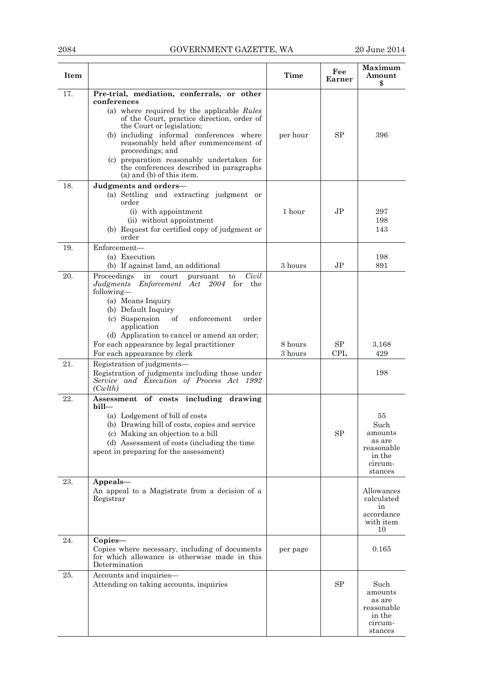## 2084 GOVERNMENT GAZETTE, WA 20 June 2014

| Item              |                                                                                                                                                                                                                                                                                                                                                                                                                                                                                                                                                                                                                                                                                                                                                                              | <b>Time</b>        | Fee<br>Earner                  | Maximum<br>Amount<br>\$                                                                              |
|-------------------|------------------------------------------------------------------------------------------------------------------------------------------------------------------------------------------------------------------------------------------------------------------------------------------------------------------------------------------------------------------------------------------------------------------------------------------------------------------------------------------------------------------------------------------------------------------------------------------------------------------------------------------------------------------------------------------------------------------------------------------------------------------------------|--------------------|--------------------------------|------------------------------------------------------------------------------------------------------|
| 17.               | Pre-trial, mediation, conferrals, or other<br>conferences<br>(a) where required by the applicable Rules<br>of the Court, practice direction, order of<br>the Court or legislation;<br>(b) including informal conferences where<br>reasonably held after commencement of<br>proceedings; and<br>(c) preparation reasonably undertaken for<br>the conferences described in paragraphs<br>$(a)$ and $(b)$ of this item.                                                                                                                                                                                                                                                                                                                                                         | per hour           | SP                             | 396                                                                                                  |
| 18.               | Judgments and orders-<br>(a) Settling and extracting judgment or<br>order<br>(i) with appointment<br>(ii) without appointment<br>(b) Request for certified copy of judgment or<br>order                                                                                                                                                                                                                                                                                                                                                                                                                                                                                                                                                                                      | 1 hour             | J <sub>P</sub>                 | 297<br>198<br>143                                                                                    |
| 19.               | Enforcement—<br>(a) Execution<br>(b) If against land, an additional                                                                                                                                                                                                                                                                                                                                                                                                                                                                                                                                                                                                                                                                                                          | 3 hours            | JP.                            | 198<br>891                                                                                           |
| 20.<br>21.<br>22. | Proceedings<br>Civil<br>court<br>in<br>pursuant<br>to<br>Judgments Enforcement Act 2004 for<br>the<br>following-<br>(a) Means Inquiry<br>(b) Default Inquiry<br>(c) Suspension<br>of<br>enforcement<br>order<br>application<br>(d) Application to cancel or amend an order;<br>For each appearance by legal practitioner<br>For each appearance by clerk<br>Registration of judgments-<br>Registration of judgments including those under<br>Service and Execution of Process Act 1992<br>(Cwith)<br>Assessment of costs including drawing<br>$\text{bill}$<br>(a) Lodgement of bill of costs<br>(b) Drawing bill of costs, copies and service<br>(c) Making an objection to a bill<br>(d) Assessment of costs (including the time<br>spent in preparing for the assessment) | 8 hours<br>3 hours | SP<br><b>CPL</b><br>${\rm SP}$ | 3,168<br>429<br>198<br>55<br>Such<br>amounts<br>as are<br>reasonable<br>in the<br>circum-<br>stances |
| $23. \,$          | Appeals-<br>An appeal to a Magistrate from a decision of a<br>Registrar                                                                                                                                                                                                                                                                                                                                                                                                                                                                                                                                                                                                                                                                                                      |                    |                                | Allowances<br>calculated<br>in<br>accordance<br>with item<br>10                                      |
| 24.               | $Copies-$<br>Copies where necessary, including of documents<br>for which allowance is otherwise made in this<br>Determination                                                                                                                                                                                                                                                                                                                                                                                                                                                                                                                                                                                                                                                | per page           |                                | 0.165                                                                                                |
| 25.               | Accounts and inquiries-<br>Attending on taking accounts, inquiries                                                                                                                                                                                                                                                                                                                                                                                                                                                                                                                                                                                                                                                                                                           |                    | ${\rm SP}$                     | Such<br>amounts<br>as are<br>reasonable<br>in the<br>circum-<br>stances                              |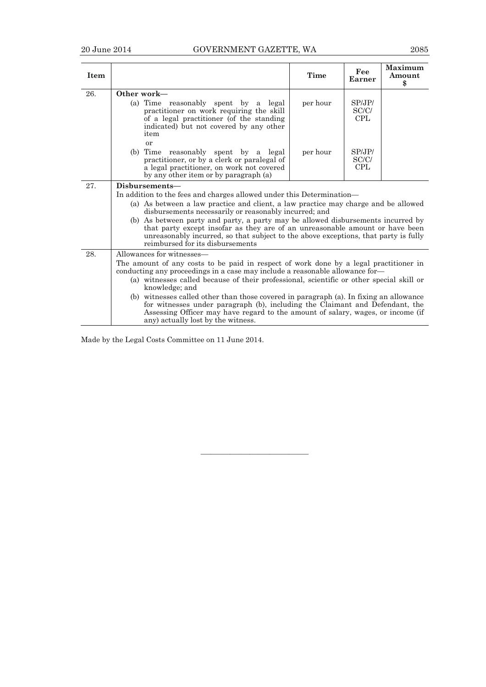| Item |                                                                                                                                                                                                                                                                                                 | Time     | Fee<br>Earner                | Maximum<br>Amount<br>\$ |
|------|-------------------------------------------------------------------------------------------------------------------------------------------------------------------------------------------------------------------------------------------------------------------------------------------------|----------|------------------------------|-------------------------|
| 26.  | Other work—<br>(a) Time reasonably spent by a legal<br>practitioner on work requiring the skill<br>of a legal practitioner (of the standing<br>indicated) but not covered by any other<br>item                                                                                                  | per hour | SPJPI<br>SC/C/<br><b>CPL</b> |                         |
|      | or<br>(b) Time reasonably spent by a legal<br>practitioner, or by a clerk or paralegal of<br>a legal practitioner, on work not covered<br>by any other item or by paragraph (a)                                                                                                                 | per hour | SPJPI<br>SC/C/<br><b>CPL</b> |                         |
| 27.  | Disbursements-                                                                                                                                                                                                                                                                                  |          |                              |                         |
|      | In addition to the fees and charges allowed under this Determination—                                                                                                                                                                                                                           |          |                              |                         |
|      | (a) As between a law practice and client, a law practice may charge and be allowed<br>disbursements necessarily or reasonably incurred; and                                                                                                                                                     |          |                              |                         |
|      | (b) As between party and party, a party may be allowed disbursements incurred by<br>that party except insofar as they are of an unreasonable amount or have been<br>unreasonably incurred, so that subject to the above exceptions, that party is fully<br>reimbursed for its disbursements     |          |                              |                         |
| 28.  | Allowances for witnesses—                                                                                                                                                                                                                                                                       |          |                              |                         |
|      | The amount of any costs to be paid in respect of work done by a legal practitioner in<br>conducting any proceedings in a case may include a reasonable allowance for-<br>(a) witnesses called because of their professional, scientific or other special skill or<br>knowledge; and             |          |                              |                         |
|      | (b) witnesses called other than those covered in paragraph (a). In fixing an allowance<br>for witnesses under paragraph (b), including the Claimant and Defendant, the<br>Assessing Officer may have regard to the amount of salary, wages, or income (if<br>any) actually lost by the witness. |          |                              |                         |

———————————

Made by the Legal Costs Committee on 11 June 2014.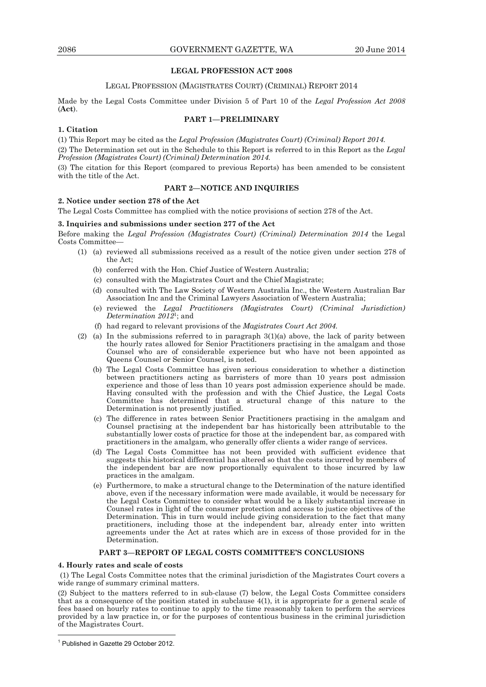## **LEGAL PROFESSION ACT 2008**

## LEGAL PROFESSION (MAGISTRATES COURT) (CRIMINAL) REPORT 2014

Made by the Legal Costs Committee under Division 5 of Part 10 of the *Legal Profession Act 2008*  (**Act**).

### **PART 1—PRELIMINARY**

## **1. Citation**

(1) This Report may be cited as the *Legal Profession (Magistrates Court) (Criminal) Report 2014.*  (2) The Determination set out in the Schedule to this Report is referred to in this Report as the *Legal Profession (Magistrates Court) (Criminal) Determination 2014.* 

(3) The citation for this Report (compared to previous Reports) has been amended to be consistent with the title of the Act.

## **PART 2—NOTICE AND INQUIRIES**

## **2. Notice under section 278 of the Act**

The Legal Costs Committee has complied with the notice provisions of section 278 of the Act.

#### **3. Inquiries and submissions under section 277 of the Act**

Before making the *Legal Profession (Magistrates Court) (Criminal) Determination 2014* the Legal Costs Committee—

- (1) (a) reviewed all submissions received as a result of the notice given under section 278 of the Act;
	- (b) conferred with the Hon. Chief Justice of Western Australia;
	- (c) consulted with the Magistrates Court and the Chief Magistrate;
	- (d) consulted with The Law Society of Western Australia Inc., the Western Australian Bar Association Inc and the Criminal Lawyers Association of Western Australia;
	- (e) reviewed the *Legal Practitioners (Magistrates Court) (Criminal Jurisdiction) Determination 2012*1; and
	- (f) had regard to relevant provisions of the *Magistrates Court Act 2004.*
- (2) (a) In the submissions referred to in paragraph  $3(1)(a)$  above, the lack of parity between the hourly rates allowed for Senior Practitioners practising in the amalgam and those Counsel who are of considerable experience but who have not been appointed as Queens Counsel or Senior Counsel, is noted.
	- (b) The Legal Costs Committee has given serious consideration to whether a distinction between practitioners acting as barristers of more than 10 years post admission experience and those of less than 10 years post admission experience should be made. Having consulted with the profession and with the Chief Justice, the Legal Costs Committee has determined that a structural change of this nature to the Determination is not presently justified.
	- (c) The difference in rates between Senior Practitioners practising in the amalgam and Counsel practising at the independent bar has historically been attributable to the substantially lower costs of practice for those at the independent bar, as compared with practitioners in the amalgam, who generally offer clients a wider range of services.
	- (d) The Legal Costs Committee has not been provided with sufficient evidence that suggests this historical differential has altered so that the costs incurred by members of the independent bar are now proportionally equivalent to those incurred by law practices in the amalgam.
	- (e) Furthermore, to make a structural change to the Determination of the nature identified above, even if the necessary information were made available, it would be necessary for the Legal Costs Committee to consider what would be a likely substantial increase in Counsel rates in light of the consumer protection and access to justice objectives of the Determination. This in turn would include giving consideration to the fact that many practitioners, including those at the independent bar, already enter into written agreements under the Act at rates which are in excess of those provided for in the Determination.

## **PART 3—REPORT OF LEGAL COSTS COMMITTEE'S CONCLUSIONS**

#### **4. Hourly rates and scale of costs**

 (1) The Legal Costs Committee notes that the criminal jurisdiction of the Magistrates Court covers a wide range of summary criminal matters.

(2) Subject to the matters referred to in sub-clause (7) below, the Legal Costs Committee considers that as a consequence of the position stated in subclause 4(1), it is appropriate for a general scale of fees based on hourly rates to continue to apply to the time reasonably taken to perform the services provided by a law practice in, or for the purposes of contentious business in the criminal jurisdiction of the Magistrates Court.

 $\overline{a}$ 

<sup>1</sup> Published in Gazette 29 October 2012.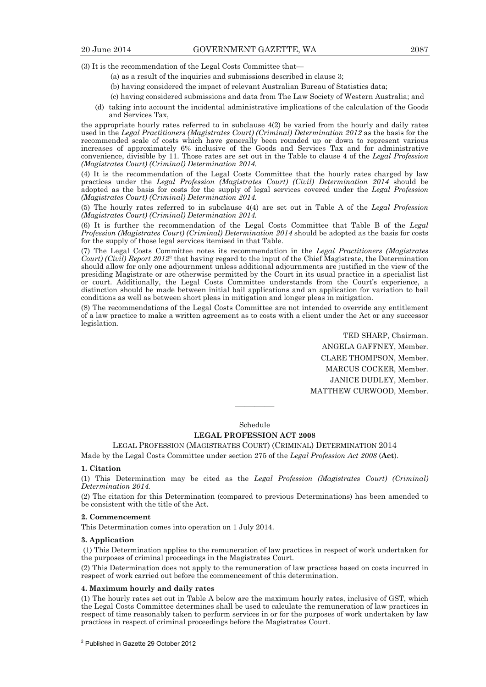(3) It is the recommendation of the Legal Costs Committee that—

- (a) as a result of the inquiries and submissions described in clause 3;
- (b) having considered the impact of relevant Australian Bureau of Statistics data;
- (c) having considered submissions and data from The Law Society of Western Australia; and
- (d) taking into account the incidental administrative implications of the calculation of the Goods and Services Tax,

the appropriate hourly rates referred to in subclause 4(2) be varied from the hourly and daily rates used in the *Legal Practitioners (Magistrates Court) (Criminal) Determination 2012* as the basis for the recommended scale of costs which have generally been rounded up or down to represent various increases of approximately 6% inclusive of the Goods and Services Tax and for administrative convenience, divisible by 11. Those rates are set out in the Table to clause 4 of the *Legal Profession (Magistrates Court) (Criminal) Determination 2014.* 

(4) It is the recommendation of the Legal Costs Committee that the hourly rates charged by law practices under the *Legal Profession (Magistrates Court) (Civil) Determination 2014* should be adopted as the basis for costs for the supply of legal services covered under the *Legal Profession (Magistrates Court) (Criminal) Determination 2014.* 

(5) The hourly rates referred to in subclause 4(4) are set out in Table A of the *Legal Profession (Magistrates Court) (Criminal) Determination 2014.*

(6) It is further the recommendation of the Legal Costs Committee that Table B of the *Legal Profession (Magistrates Court) (Criminal) Determination 2014* should be adopted as the basis for costs for the supply of those legal services itemised in that Table.

(7) The Legal Costs Committee notes its recommendation in the *Legal Practitioners (Magistrates Court) (Civil) Report 2012*<sup>2</sup> that having regard to the input of the Chief Magistrate, the Determination should allow for only one adjournment unless additional adjournments are justified in the view of the presiding Magistrate or are otherwise permitted by the Court in its usual practice in a specialist list or court. Additionally, the Legal Costs Committee understands from the Court's experience, a distinction should be made between initial bail applications and an application for variation to bail conditions as well as between short pleas in mitigation and longer pleas in mitigation.

(8) The recommendations of the Legal Costs Committee are not intended to override any entitlement of a law practice to make a written agreement as to costs with a client under the Act or any successor legislation*.*

> TED SHARP, Chairman. ANGELA GAFFNEY, Member. CLARE THOMPSON, Member. MARCUS COCKER, Member. JANICE DUDLEY, Member. MATTHEW CURWOOD, Member.

Schedule

————

## **LEGAL PROFESSION ACT 2008**

LEGAL PROFESSION (MAGISTRATES COURT) (CRIMINAL) DETERMINATION 2014

Made by the Legal Costs Committee under section 275 of the *Legal Profession Act 2008* (**Act**).

#### **1. Citation**

(1) This Determination may be cited as the *Legal Profession (Magistrates Court) (Criminal) Determination 2014.*

(2) The citation for this Determination (compared to previous Determinations) has been amended to be consistent with the title of the Act.

#### **2. Commencement**

This Determination comes into operation on 1 July 2014.

### **3. Application**

 $\overline{a}$ 

 (1) This Determination applies to the remuneration of law practices in respect of work undertaken for the purposes of criminal proceedings in the Magistrates Court.

(2) This Determination does not apply to the remuneration of law practices based on costs incurred in respect of work carried out before the commencement of this determination.

#### **4. Maximum hourly and daily rates**

(1) The hourly rates set out in Table A below are the maximum hourly rates, inclusive of GST, which the Legal Costs Committee determines shall be used to calculate the remuneration of law practices in respect of time reasonably taken to perform services in or for the purposes of work undertaken by law practices in respect of criminal proceedings before the Magistrates Court.

<sup>&</sup>lt;sup>2</sup> Published in Gazette 29 October 2012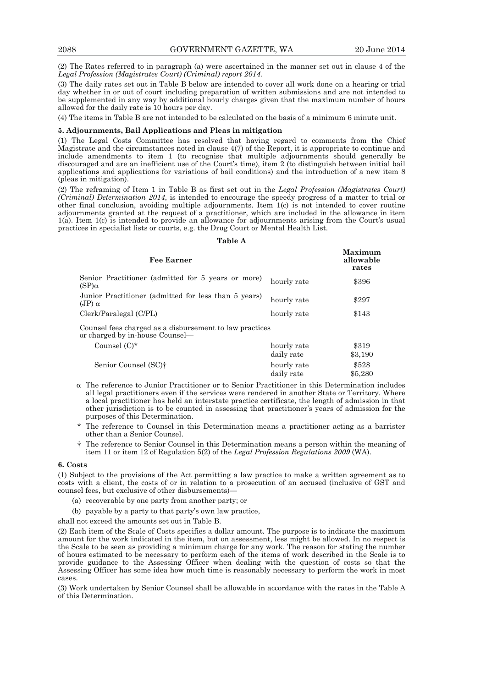(2) The Rates referred to in paragraph (a) were ascertained in the manner set out in clause 4 of the *Legal Profession (Magistrates Court) (Criminal) report 2014.*

(3) The daily rates set out in Table B below are intended to cover all work done on a hearing or trial day whether in or out of court including preparation of written submissions and are not intended to be supplemented in any way by additional hourly charges given that the maximum number of hours allowed for the daily rate is 10 hours per day.

(4) The items in Table B are not intended to be calculated on the basis of a minimum 6 minute unit.

## **5. Adjournments, Bail Applications and Pleas in mitigation**

(1) The Legal Costs Committee has resolved that having regard to comments from the Chief Magistrate and the circumstances noted in clause 4(7) of the Report, it is appropriate to continue and include amendments to item 1 (to recognise that multiple adjournments should generally be discouraged and are an inefficient use of the Court's time), item 2 (to distinguish between initial bail applications and applications for variations of bail conditions) and the introduction of a new item 8 (pleas in mitigation).

(2) The reframing of Item 1 in Table B as first set out in the *Legal Profession (Magistrates Court) (Criminal) Determination 2014*, is intended to encourage the speedy progress of a matter to trial or other final conclusion, avoiding multiple adjournments. Item  $1(c)$  is not intended to cover routine adjournments granted at the request of a practitioner, which are included in the allowance in item 1(a). Item 1(c) is intended to provide an allowance for adjournments arising from the Court's usual practices in specialist lists or courts, e.g. the Drug Court or Mental Health List.

#### **Table A**

| Fee Earner                                                                                 |             | Maximum<br>allowable<br>rates |
|--------------------------------------------------------------------------------------------|-------------|-------------------------------|
| Senior Practitioner (admitted for 5 years or more)<br>(SP) $\alpha$                        | hourly rate | \$396                         |
| Junior Practitioner (admitted for less than 5 years)<br>(JP) $\alpha$                      | hourly rate | \$297                         |
| Clerk/Paralegal (C/PL)                                                                     | hourly rate | \$143                         |
| Counsel fees charged as a disbursement to law practices<br>or charged by in-house Counsel— |             |                               |
| Counsel $(C)^*$                                                                            | hourly rate | \$319                         |
|                                                                                            | daily rate  | \$3,190                       |
| Senior Counsel (SC) <sup>†</sup>                                                           | hourly rate | \$528                         |
|                                                                                            | daily rate  | \$5,280                       |

- $\alpha$  The reference to Junior Practitioner or to Senior Practitioner in this Determination includes all legal practitioners even if the services were rendered in another State or Territory. Where a local practitioner has held an interstate practice certificate, the length of admission in that other jurisdiction is to be counted in assessing that practitioner's years of admission for the purposes of this Determination.
- \* The reference to Counsel in this Determination means a practitioner acting as a barrister other than a Senior Counsel.
- † The reference to Senior Counsel in this Determination means a person within the meaning of item 11 or item 12 of Regulation 5(2) of the *Legal Profession Regulations 2009* (WA).

#### **6. Costs**

(1) Subject to the provisions of the Act permitting a law practice to make a written agreement as to costs with a client, the costs of or in relation to a prosecution of an accused (inclusive of GST and counsel fees, but exclusive of other disbursements)—

- (a) recoverable by one party from another party; or
- (b) payable by a party to that party's own law practice,

shall not exceed the amounts set out in Table B.

(2) Each item of the Scale of Costs specifies a dollar amount. The purpose is to indicate the maximum amount for the work indicated in the item, but on assessment, less might be allowed. In no respect is the Scale to be seen as providing a minimum charge for any work. The reason for stating the number of hours estimated to be necessary to perform each of the items of work described in the Scale is to provide guidance to the Assessing Officer when dealing with the question of costs so that the Assessing Officer has some idea how much time is reasonably necessary to perform the work in most cases.

(3) Work undertaken by Senior Counsel shall be allowable in accordance with the rates in the Table A of this Determination.